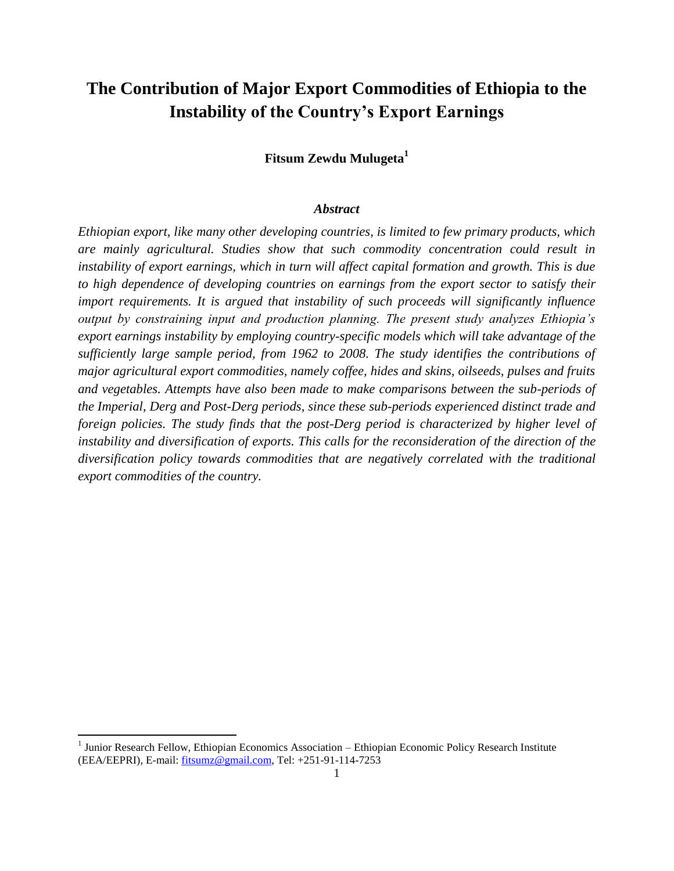# **The Contribution of Major Export Commodities of Ethiopia to the Instability of the Country's Export Earnings**

**Fitsum Zewdu Mulugeta<sup>1</sup>**

#### *Abstract*

*Ethiopian export, like many other developing countries, is limited to few primary products, which are mainly agricultural. Studies show that such commodity concentration could result in instability of export earnings, which in turn will affect capital formation and growth. This is due to high dependence of developing countries on earnings from the export sector to satisfy their import requirements. It is argued that instability of such proceeds will significantly influence output by constraining input and production planning. The present study analyzes Ethiopia's export earnings instability by employing country-specific models which will take advantage of the sufficiently large sample period, from 1962 to 2008. The study identifies the contributions of major agricultural export commodities, namely coffee, hides and skins, oilseeds, pulses and fruits and vegetables. Attempts have also been made to make comparisons between the sub-periods of the Imperial, Derg and Post-Derg periods, since these sub-periods experienced distinct trade and foreign policies. The study finds that the post-Derg period is characterized by higher level of instability and diversification of exports. This calls for the reconsideration of the direction of the diversification policy towards commodities that are negatively correlated with the traditional export commodities of the country.*

**.** 

<sup>&</sup>lt;sup>1</sup> Junior Research Fellow, Ethiopian Economics Association – Ethiopian Economic Policy Research Institute (EEA/EEPRI), E-mail: [fitsumz@gmail.com,](mailto:fitsumz@gmail.com) Tel: +251-91-114-7253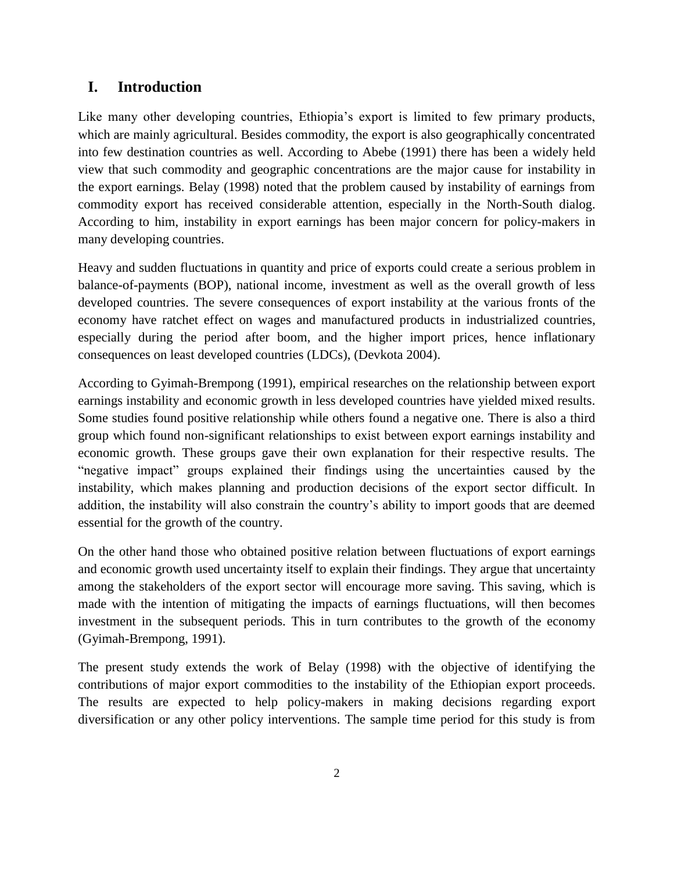# **I. Introduction**

Like many other developing countries, Ethiopia's export is limited to few primary products, which are mainly agricultural. Besides commodity, the export is also geographically concentrated into few destination countries as well. According to Abebe (1991) there has been a widely held view that such commodity and geographic concentrations are the major cause for instability in the export earnings. Belay (1998) noted that the problem caused by instability of earnings from commodity export has received considerable attention, especially in the North-South dialog. According to him, instability in export earnings has been major concern for policy-makers in many developing countries.

Heavy and sudden fluctuations in quantity and price of exports could create a serious problem in balance-of-payments (BOP), national income, investment as well as the overall growth of less developed countries. The severe consequences of export instability at the various fronts of the economy have ratchet effect on wages and manufactured products in industrialized countries, especially during the period after boom, and the higher import prices, hence inflationary consequences on least developed countries (LDCs), (Devkota 2004).

According to Gyimah-Brempong (1991), empirical researches on the relationship between export earnings instability and economic growth in less developed countries have yielded mixed results. Some studies found positive relationship while others found a negative one. There is also a third group which found non-significant relationships to exist between export earnings instability and economic growth. These groups gave their own explanation for their respective results. The "negative impact" groups explained their findings using the uncertainties caused by the instability, which makes planning and production decisions of the export sector difficult. In addition, the instability will also constrain the country"s ability to import goods that are deemed essential for the growth of the country.

On the other hand those who obtained positive relation between fluctuations of export earnings and economic growth used uncertainty itself to explain their findings. They argue that uncertainty among the stakeholders of the export sector will encourage more saving. This saving, which is made with the intention of mitigating the impacts of earnings fluctuations, will then becomes investment in the subsequent periods. This in turn contributes to the growth of the economy (Gyimah-Brempong, 1991).

The present study extends the work of Belay (1998) with the objective of identifying the contributions of major export commodities to the instability of the Ethiopian export proceeds. The results are expected to help policy-makers in making decisions regarding export diversification or any other policy interventions. The sample time period for this study is from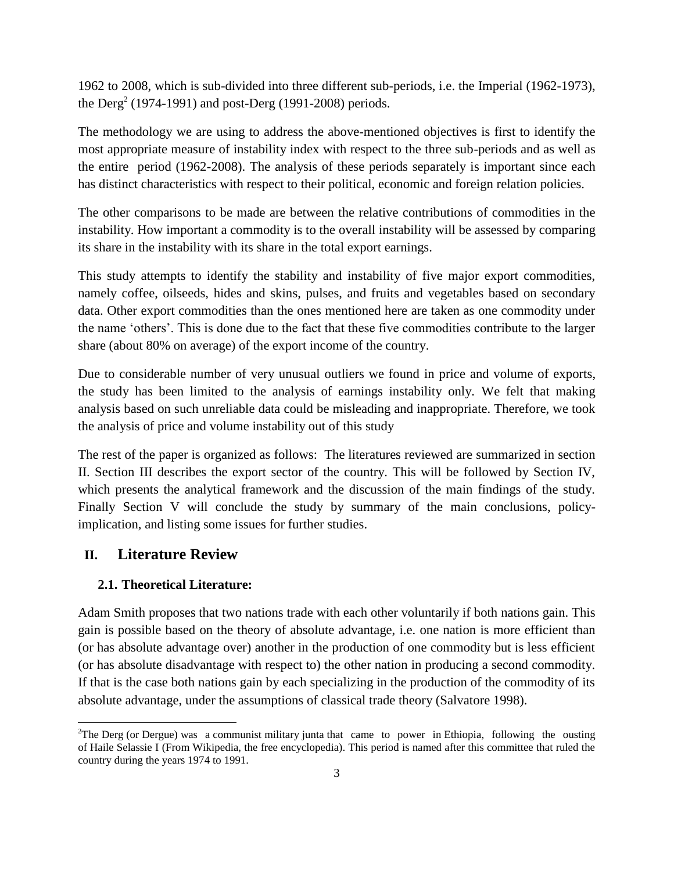1962 to 2008, which is sub-divided into three different sub-periods, i.e. the Imperial (1962-1973), the  $\text{Derg}^{2}$  (1974-1991) and post- $\text{Derg}$  (1991-2008) periods.

The methodology we are using to address the above-mentioned objectives is first to identify the most appropriate measure of instability index with respect to the three sub-periods and as well as the entire period (1962-2008). The analysis of these periods separately is important since each has distinct characteristics with respect to their political, economic and foreign relation policies.

The other comparisons to be made are between the relative contributions of commodities in the instability. How important a commodity is to the overall instability will be assessed by comparing its share in the instability with its share in the total export earnings.

This study attempts to identify the stability and instability of five major export commodities, namely coffee, oilseeds, hides and skins, pulses, and fruits and vegetables based on secondary data. Other export commodities than the ones mentioned here are taken as one commodity under the name "others". This is done due to the fact that these five commodities contribute to the larger share (about 80% on average) of the export income of the country.

Due to considerable number of very unusual outliers we found in price and volume of exports, the study has been limited to the analysis of earnings instability only. We felt that making analysis based on such unreliable data could be misleading and inappropriate. Therefore, we took the analysis of price and volume instability out of this study

The rest of the paper is organized as follows: The literatures reviewed are summarized in section II. Section III describes the export sector of the country. This will be followed by Section IV, which presents the analytical framework and the discussion of the main findings of the study. Finally Section V will conclude the study by summary of the main conclusions, policyimplication, and listing some issues for further studies.

# **II. Literature Review**

**.** 

## **2.1. Theoretical Literature:**

Adam Smith proposes that two nations trade with each other voluntarily if both nations gain. This gain is possible based on the theory of absolute advantage, i.e. one nation is more efficient than (or has absolute advantage over) another in the production of one commodity but is less efficient (or has absolute disadvantage with respect to) the other nation in producing a second commodity. If that is the case both nations gain by each specializing in the production of the commodity of its absolute advantage, under the assumptions of classical trade theory (Salvatore 1998).

<sup>&</sup>lt;sup>2</sup>The Derg (or Dergue) was a [communist](http://en.wikipedia.org/wiki/Communism) military [junta](http://en.wikipedia.org/wiki/Military_dictatorship) that came to power in [Ethiopia,](http://en.wikipedia.org/wiki/Ethiopia) following the ousting of [Haile Selassie I](http://en.wikipedia.org/wiki/Haile_Selassie_I_of_Ethiopia) (From Wikipedia, the free encyclopedia). This period is named after this committee that ruled the country during the years 1974 to 1991.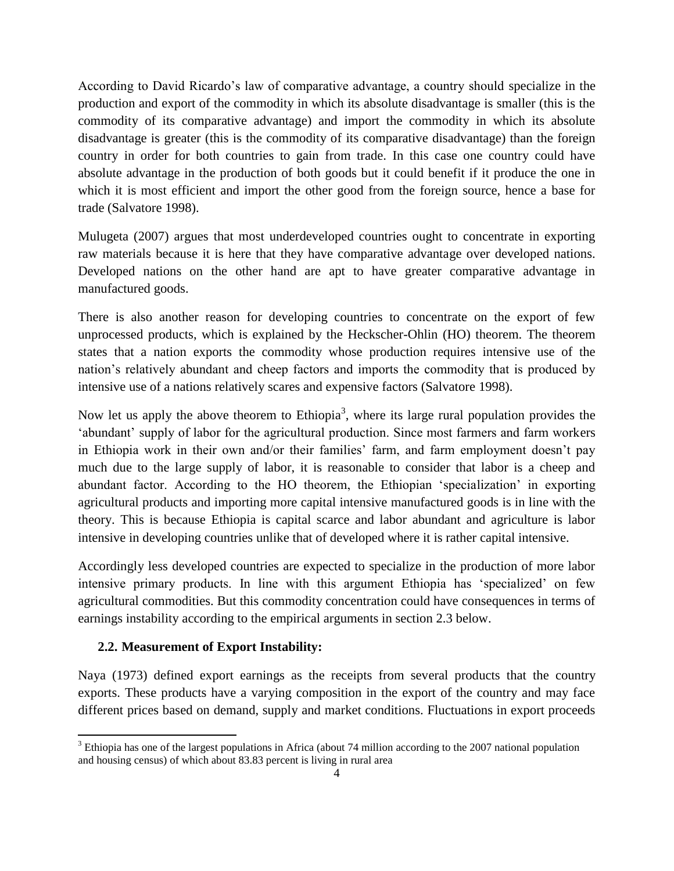According to David Ricardo"s law of comparative advantage, a country should specialize in the production and export of the commodity in which its absolute disadvantage is smaller (this is the commodity of its comparative advantage) and import the commodity in which its absolute disadvantage is greater (this is the commodity of its comparative disadvantage) than the foreign country in order for both countries to gain from trade. In this case one country could have absolute advantage in the production of both goods but it could benefit if it produce the one in which it is most efficient and import the other good from the foreign source, hence a base for trade (Salvatore 1998).

Mulugeta (2007) argues that most underdeveloped countries ought to concentrate in exporting raw materials because it is here that they have comparative advantage over developed nations. Developed nations on the other hand are apt to have greater comparative advantage in manufactured goods.

There is also another reason for developing countries to concentrate on the export of few unprocessed products, which is explained by the Heckscher-Ohlin (HO) theorem. The theorem states that a nation exports the commodity whose production requires intensive use of the nation"s relatively abundant and cheep factors and imports the commodity that is produced by intensive use of a nations relatively scares and expensive factors (Salvatore 1998).

Now let us apply the above theorem to Ethiopia<sup>3</sup>, where its large rural population provides the 'abundant' supply of labor for the agricultural production. Since most farmers and farm workers in Ethiopia work in their own and/or their families' farm, and farm employment doesn't pay much due to the large supply of labor, it is reasonable to consider that labor is a cheep and abundant factor. According to the HO theorem, the Ethiopian "specialization" in exporting agricultural products and importing more capital intensive manufactured goods is in line with the theory. This is because Ethiopia is capital scarce and labor abundant and agriculture is labor intensive in developing countries unlike that of developed where it is rather capital intensive.

Accordingly less developed countries are expected to specialize in the production of more labor intensive primary products. In line with this argument Ethiopia has "specialized" on few agricultural commodities. But this commodity concentration could have consequences in terms of earnings instability according to the empirical arguments in section 2.3 below.

# **2.2. Measurement of Export Instability:**

**.** 

Naya (1973) defined export earnings as the receipts from several products that the country exports. These products have a varying composition in the export of the country and may face different prices based on demand, supply and market conditions. Fluctuations in export proceeds

<sup>&</sup>lt;sup>3</sup> Ethiopia has one of the largest populations in Africa (about 74 million according to the 2007 national population and housing census) of which about 83.83 percent is living in rural area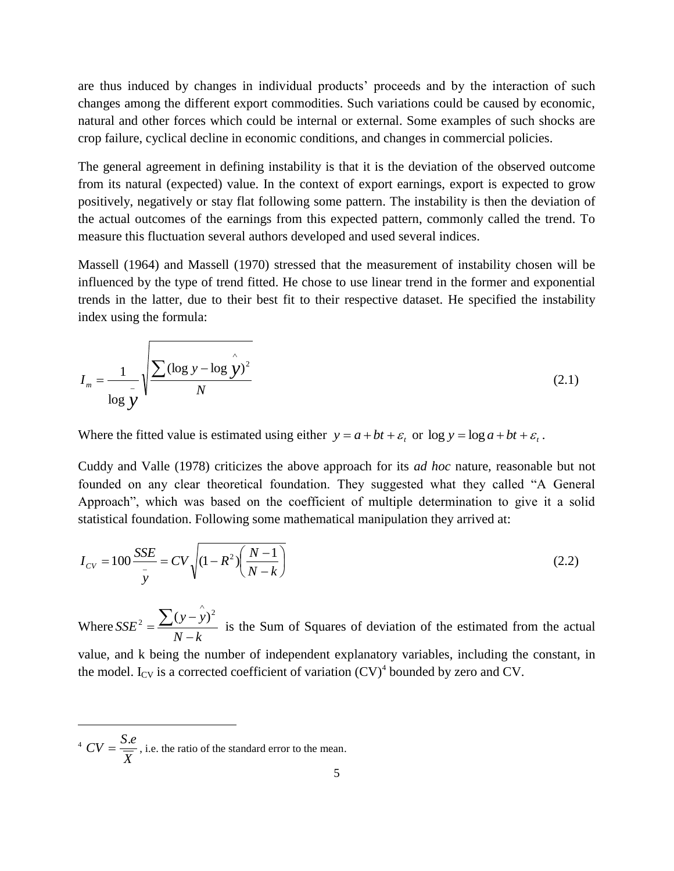are thus induced by changes in individual products" proceeds and by the interaction of such changes among the different export commodities. Such variations could be caused by economic, natural and other forces which could be internal or external. Some examples of such shocks are crop failure, cyclical decline in economic conditions, and changes in commercial policies.

The general agreement in defining instability is that it is the deviation of the observed outcome from its natural (expected) value. In the context of export earnings, export is expected to grow positively, negatively or stay flat following some pattern. The instability is then the deviation of the actual outcomes of the earnings from this expected pattern, commonly called the trend. To measure this fluctuation several authors developed and used several indices.

Massell (1964) and Massell (1970) stressed that the measurement of instability chosen will be influenced by the type of trend fitted. He chose to use linear trend in the former and exponential trends in the latter, due to their best fit to their respective dataset. He specified the instability index using the formula:

$$
I_m = \frac{1}{\log y} \sqrt{\frac{\sum (\log y - \log \hat{y})^2}{N}}
$$
(2.1)

Where the fitted value is estimated using either  $y = a + bt + \varepsilon$ , or  $\log y = \log a + bt + \varepsilon$ .

Cuddy and Valle (1978) criticizes the above approach for its *ad hoc* nature, reasonable but not founded on any clear theoretical foundation. They suggested what they called "A General Approach", which was based on the coefficient of multiple determination to give it a solid statistical foundation. Following some mathematical manipulation they arrived at:

$$
I_{CV} = 100 \frac{SSE}{\bar{y}} = CV \sqrt{(1 - R^2) \left(\frac{N - 1}{N - k}\right)}
$$
(2.2)

Where  $N - k$ *y y SSE*  $\overline{a}$  $\overline{a}$  $=\frac{\sum (y - \hat{y})^2}{2}$  $\sum_{2} (y - y)$ is the Sum of Squares of deviation of the estimated from the actual value, and k being the number of independent explanatory variables, including the constant, in the model. I<sub>CV</sub> is a corrected coefficient of variation  $(CV)^4$  bounded by zero and CV.

<sup>4</sup> 
$$
CV = \frac{S.e}{\overline{X}}
$$
, i.e. the ratio of the standard error to the mean.

1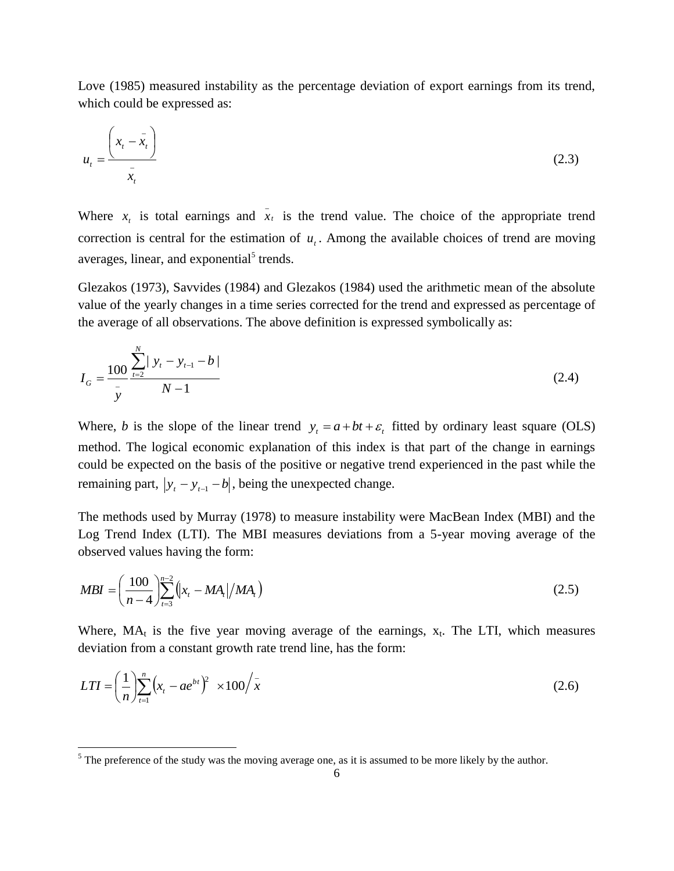Love (1985) measured instability as the percentage deviation of export earnings from its trend, which could be expressed as:

$$
u_t = \frac{\left(x_t - \bar{x}_t\right)}{\bar{x}_t} \tag{2.3}
$$

Where  $x_t$  is total earnings and  $\overline{x}_t$  is the trend value. The choice of the appropriate trend correction is central for the estimation of  $u_t$ . Among the available choices of trend are moving averages, linear, and exponential<sup>5</sup> trends.

Glezakos (1973), Savvides (1984) and Glezakos (1984) used the arithmetic mean of the absolute value of the yearly changes in a time series corrected for the trend and expressed as percentage of the average of all observations. The above definition is expressed symbolically as:

$$
I_G = \frac{100}{\bar{y}} \frac{\sum_{t=2}^{N} |y_t - y_{t-1} - b|}{N - 1}
$$
\n(2.4)

Where, *b* is the slope of the linear trend  $y_t = a + bt + \varepsilon$ , fitted by ordinary least square (OLS) method. The logical economic explanation of this index is that part of the change in earnings could be expected on the basis of the positive or negative trend experienced in the past while the remaining part,  $|y_t - y_{t-1} - b|$ , being the unexpected change.

The methods used by Murray (1978) to measure instability were MacBean Index (MBI) and the Log Trend Index (LTI). The MBI measures deviations from a 5-year moving average of the observed values having the form:

$$
MBI = \left(\frac{100}{n-4}\right) \sum_{t=3}^{n-2} \left(|x_t - MA_t|/MA_t\right) \tag{2.5}
$$

Where,  $MA_t$  is the five year moving average of the earnings,  $x_t$ . The LTI, which measures deviation from a constant growth rate trend line, has the form:

$$
LTI = \left(\frac{1}{n}\right) \sum_{t=1}^{n} \left(x_t - ae^{bt}\right)^2 \times 100 \Big/ \bar{x}
$$
 (2.6)

1

 $<sup>5</sup>$  The preference of the study was the moving average one, as it is assumed to be more likely by the author.</sup>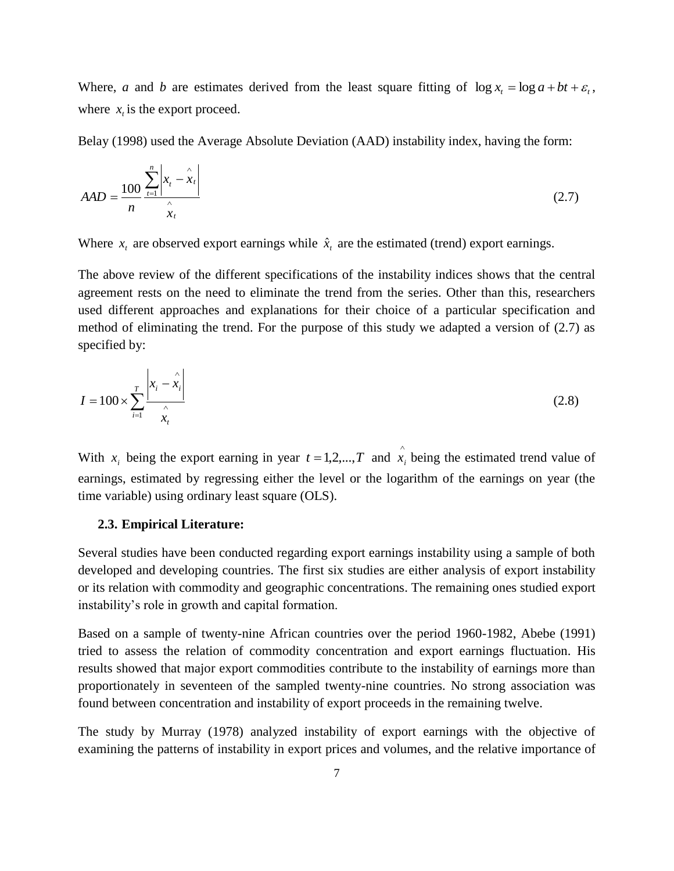Where, *a* and *b* are estimates derived from the least square fitting of  $\log x$  =  $\log a + bt + \varepsilon$ , where  $x<sub>t</sub>$  is the export proceed.

Belay (1998) used the Average Absolute Deviation (AAD) instability index, having the form:

$$
AAD = \frac{100}{n} \frac{\sum_{t=1}^{n} \left| x_t - \hat{x}_t \right|}{\hat{x}_t}
$$
\n(2.7)

Where  $x_t$  are observed export earnings while  $\hat{x}_t$  are the estimated (trend) export earnings.

The above review of the different specifications of the instability indices shows that the central agreement rests on the need to eliminate the trend from the series. Other than this, researchers used different approaches and explanations for their choice of a particular specification and method of eliminating the trend. For the purpose of this study we adapted a version of (2.7) as specified by:

$$
I = 100 \times \sum_{i=1}^{T} \frac{\left| x_i - \hat{x}_i \right|}{\sum_{i=1}^{N} x_i}
$$
 (2.8)

With  $x_i$  being the export earning in year  $t = 1, 2, ..., T$  and  $\hat{x}$  $x_i$  being the estimated trend value of earnings, estimated by regressing either the level or the logarithm of the earnings on year (the time variable) using ordinary least square (OLS).

#### **2.3. Empirical Literature:**

Several studies have been conducted regarding export earnings instability using a sample of both developed and developing countries. The first six studies are either analysis of export instability or its relation with commodity and geographic concentrations. The remaining ones studied export instability"s role in growth and capital formation.

Based on a sample of twenty-nine African countries over the period 1960-1982, Abebe (1991) tried to assess the relation of commodity concentration and export earnings fluctuation. His results showed that major export commodities contribute to the instability of earnings more than proportionately in seventeen of the sampled twenty-nine countries. No strong association was found between concentration and instability of export proceeds in the remaining twelve.

The study by Murray (1978) analyzed instability of export earnings with the objective of examining the patterns of instability in export prices and volumes, and the relative importance of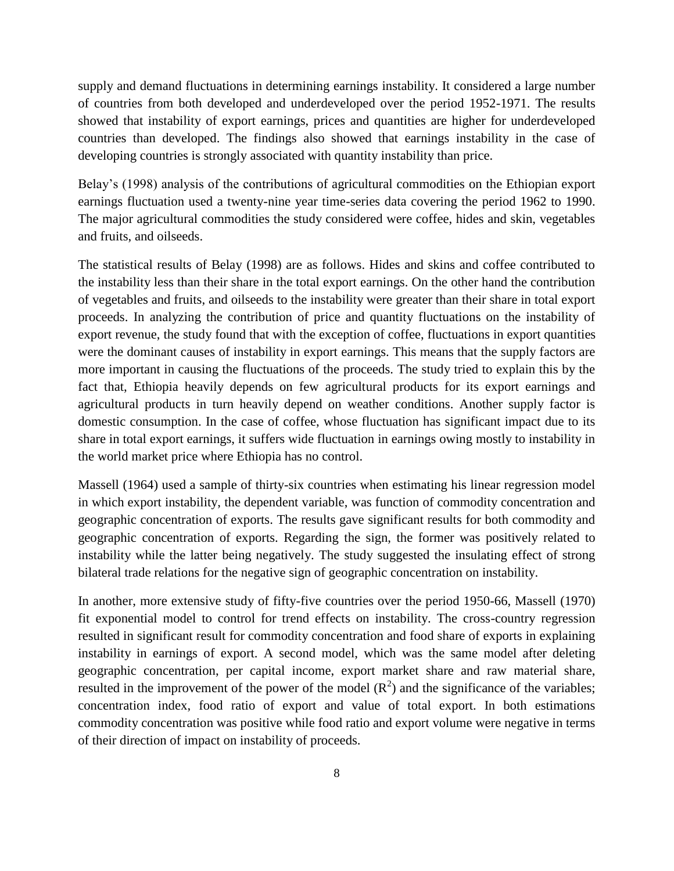supply and demand fluctuations in determining earnings instability. It considered a large number of countries from both developed and underdeveloped over the period 1952-1971. The results showed that instability of export earnings, prices and quantities are higher for underdeveloped countries than developed. The findings also showed that earnings instability in the case of developing countries is strongly associated with quantity instability than price.

Belay"s (1998) analysis of the contributions of agricultural commodities on the Ethiopian export earnings fluctuation used a twenty-nine year time-series data covering the period 1962 to 1990. The major agricultural commodities the study considered were coffee, hides and skin, vegetables and fruits, and oilseeds.

The statistical results of Belay (1998) are as follows. Hides and skins and coffee contributed to the instability less than their share in the total export earnings. On the other hand the contribution of vegetables and fruits, and oilseeds to the instability were greater than their share in total export proceeds. In analyzing the contribution of price and quantity fluctuations on the instability of export revenue, the study found that with the exception of coffee, fluctuations in export quantities were the dominant causes of instability in export earnings. This means that the supply factors are more important in causing the fluctuations of the proceeds. The study tried to explain this by the fact that, Ethiopia heavily depends on few agricultural products for its export earnings and agricultural products in turn heavily depend on weather conditions. Another supply factor is domestic consumption. In the case of coffee, whose fluctuation has significant impact due to its share in total export earnings, it suffers wide fluctuation in earnings owing mostly to instability in the world market price where Ethiopia has no control.

Massell (1964) used a sample of thirty-six countries when estimating his linear regression model in which export instability, the dependent variable, was function of commodity concentration and geographic concentration of exports. The results gave significant results for both commodity and geographic concentration of exports. Regarding the sign, the former was positively related to instability while the latter being negatively. The study suggested the insulating effect of strong bilateral trade relations for the negative sign of geographic concentration on instability.

In another, more extensive study of fifty-five countries over the period 1950-66, Massell (1970) fit exponential model to control for trend effects on instability. The cross-country regression resulted in significant result for commodity concentration and food share of exports in explaining instability in earnings of export. A second model, which was the same model after deleting geographic concentration, per capital income, export market share and raw material share, resulted in the improvement of the power of the model  $(R^2)$  and the significance of the variables; concentration index, food ratio of export and value of total export. In both estimations commodity concentration was positive while food ratio and export volume were negative in terms of their direction of impact on instability of proceeds.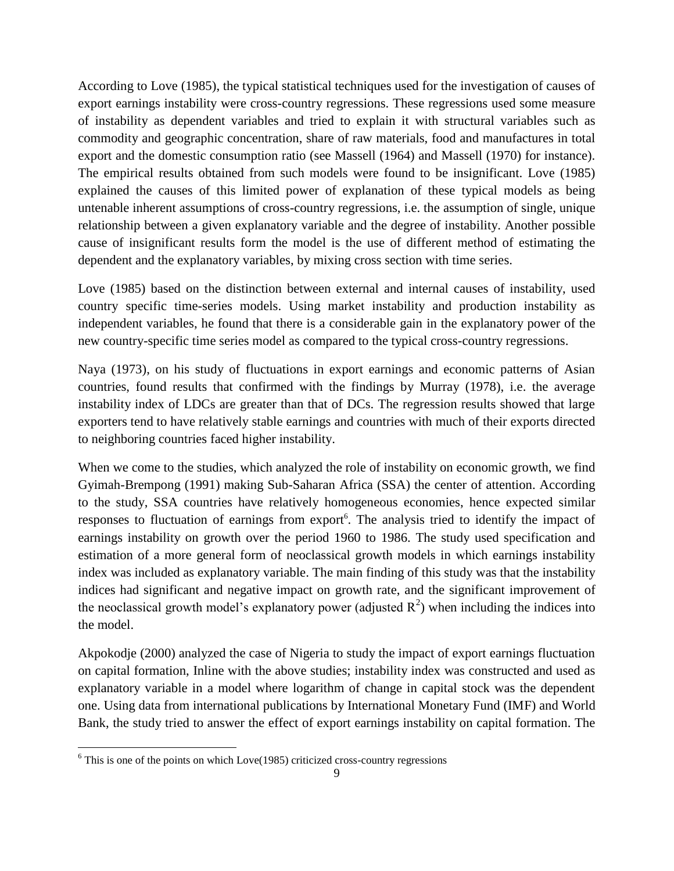According to Love (1985), the typical statistical techniques used for the investigation of causes of export earnings instability were cross-country regressions. These regressions used some measure of instability as dependent variables and tried to explain it with structural variables such as commodity and geographic concentration, share of raw materials, food and manufactures in total export and the domestic consumption ratio (see Massell (1964) and Massell (1970) for instance). The empirical results obtained from such models were found to be insignificant. Love (1985) explained the causes of this limited power of explanation of these typical models as being untenable inherent assumptions of cross-country regressions, i.e. the assumption of single, unique relationship between a given explanatory variable and the degree of instability. Another possible cause of insignificant results form the model is the use of different method of estimating the dependent and the explanatory variables, by mixing cross section with time series.

Love (1985) based on the distinction between external and internal causes of instability, used country specific time-series models. Using market instability and production instability as independent variables, he found that there is a considerable gain in the explanatory power of the new country-specific time series model as compared to the typical cross-country regressions.

Naya (1973), on his study of fluctuations in export earnings and economic patterns of Asian countries, found results that confirmed with the findings by Murray (1978), i.e. the average instability index of LDCs are greater than that of DCs. The regression results showed that large exporters tend to have relatively stable earnings and countries with much of their exports directed to neighboring countries faced higher instability.

When we come to the studies, which analyzed the role of instability on economic growth, we find Gyimah-Brempong (1991) making Sub-Saharan Africa (SSA) the center of attention. According to the study, SSA countries have relatively homogeneous economies, hence expected similar responses to fluctuation of earnings from export<sup>6</sup>. The analysis tried to identify the impact of earnings instability on growth over the period 1960 to 1986. The study used specification and estimation of a more general form of neoclassical growth models in which earnings instability index was included as explanatory variable. The main finding of this study was that the instability indices had significant and negative impact on growth rate, and the significant improvement of the neoclassical growth model's explanatory power (adjusted  $R^2$ ) when including the indices into the model.

Akpokodje (2000) analyzed the case of Nigeria to study the impact of export earnings fluctuation on capital formation, Inline with the above studies; instability index was constructed and used as explanatory variable in a model where logarithm of change in capital stock was the dependent one. Using data from international publications by International Monetary Fund (IMF) and World Bank, the study tried to answer the effect of export earnings instability on capital formation. The

1

 $6$  This is one of the points on which Love(1985) criticized cross-country regressions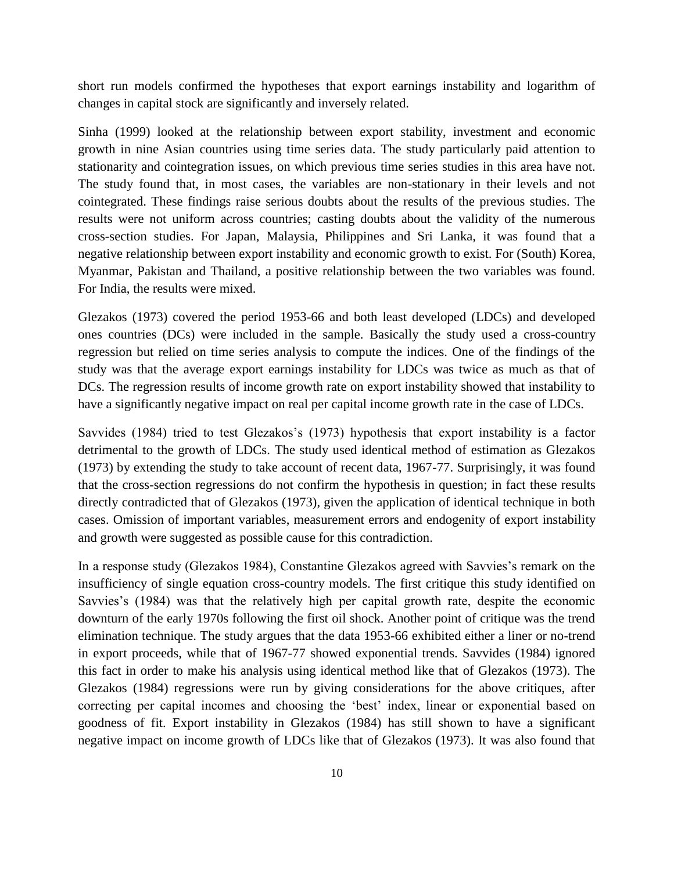short run models confirmed the hypotheses that export earnings instability and logarithm of changes in capital stock are significantly and inversely related.

Sinha (1999) looked at the relationship between export stability, investment and economic growth in nine Asian countries using time series data. The study particularly paid attention to stationarity and cointegration issues, on which previous time series studies in this area have not. The study found that, in most cases, the variables are non-stationary in their levels and not cointegrated. These findings raise serious doubts about the results of the previous studies. The results were not uniform across countries; casting doubts about the validity of the numerous cross-section studies. For Japan, Malaysia, Philippines and Sri Lanka, it was found that a negative relationship between export instability and economic growth to exist. For (South) Korea, Myanmar, Pakistan and Thailand, a positive relationship between the two variables was found. For India, the results were mixed.

Glezakos (1973) covered the period 1953-66 and both least developed (LDCs) and developed ones countries (DCs) were included in the sample. Basically the study used a cross-country regression but relied on time series analysis to compute the indices. One of the findings of the study was that the average export earnings instability for LDCs was twice as much as that of DCs. The regression results of income growth rate on export instability showed that instability to have a significantly negative impact on real per capital income growth rate in the case of LDCs.

Savvides (1984) tried to test Glezakos's (1973) hypothesis that export instability is a factor detrimental to the growth of LDCs. The study used identical method of estimation as Glezakos (1973) by extending the study to take account of recent data, 1967-77. Surprisingly, it was found that the cross-section regressions do not confirm the hypothesis in question; in fact these results directly contradicted that of Glezakos (1973), given the application of identical technique in both cases. Omission of important variables, measurement errors and endogenity of export instability and growth were suggested as possible cause for this contradiction.

In a response study (Glezakos 1984), Constantine Glezakos agreed with Savvies's remark on the insufficiency of single equation cross-country models. The first critique this study identified on Savvies's (1984) was that the relatively high per capital growth rate, despite the economic downturn of the early 1970s following the first oil shock. Another point of critique was the trend elimination technique. The study argues that the data 1953-66 exhibited either a liner or no-trend in export proceeds, while that of 1967-77 showed exponential trends. Savvides (1984) ignored this fact in order to make his analysis using identical method like that of Glezakos (1973). The Glezakos (1984) regressions were run by giving considerations for the above critiques, after correcting per capital incomes and choosing the 'best' index, linear or exponential based on goodness of fit. Export instability in Glezakos (1984) has still shown to have a significant negative impact on income growth of LDCs like that of Glezakos (1973). It was also found that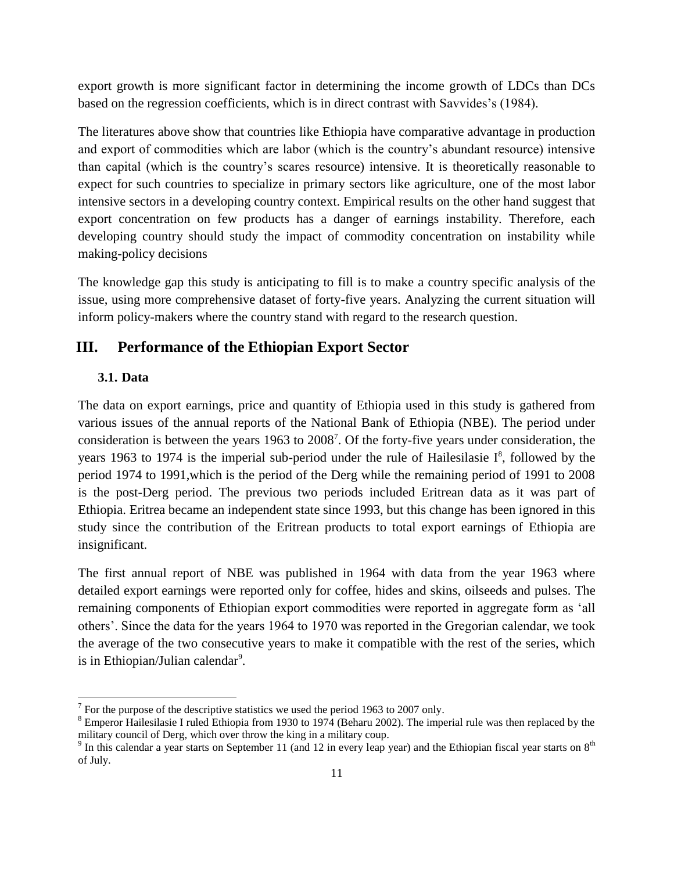export growth is more significant factor in determining the income growth of LDCs than DCs based on the regression coefficients, which is in direct contrast with Savvides's (1984).

The literatures above show that countries like Ethiopia have comparative advantage in production and export of commodities which are labor (which is the country"s abundant resource) intensive than capital (which is the country"s scares resource) intensive. It is theoretically reasonable to expect for such countries to specialize in primary sectors like agriculture, one of the most labor intensive sectors in a developing country context. Empirical results on the other hand suggest that export concentration on few products has a danger of earnings instability. Therefore, each developing country should study the impact of commodity concentration on instability while making-policy decisions

The knowledge gap this study is anticipating to fill is to make a country specific analysis of the issue, using more comprehensive dataset of forty-five years. Analyzing the current situation will inform policy-makers where the country stand with regard to the research question.

# **III. Performance of the Ethiopian Export Sector**

#### **3.1. Data**

The data on export earnings, price and quantity of Ethiopia used in this study is gathered from various issues of the annual reports of the National Bank of Ethiopia (NBE). The period under consideration is between the years 1963 to 2008<sup>7</sup>. Of the forty-five years under consideration, the years 1963 to 1974 is the imperial sub-period under the rule of Hailesilasie  $I^8$ , followed by the period 1974 to 1991,which is the period of the Derg while the remaining period of 1991 to 2008 is the post-Derg period. The previous two periods included Eritrean data as it was part of Ethiopia. Eritrea became an independent state since 1993, but this change has been ignored in this study since the contribution of the Eritrean products to total export earnings of Ethiopia are insignificant.

The first annual report of NBE was published in 1964 with data from the year 1963 where detailed export earnings were reported only for coffee, hides and skins, oilseeds and pulses. The remaining components of Ethiopian export commodities were reported in aggregate form as "all others". Since the data for the years 1964 to 1970 was reported in the Gregorian calendar, we took the average of the two consecutive years to make it compatible with the rest of the series, which is in Ethiopian/Julian calendar<sup>9</sup>.

The statistics we used the period 1963 to 2007 only.

<sup>8</sup> Emperor Hailesilasie I ruled Ethiopia from 1930 to 1974 (Beharu 2002). The imperial rule was then replaced by the military council of Derg, which over throw the king in a military coup.

<sup>&</sup>lt;sup>9</sup> In this calendar a year starts on September 11 (and 12 in every leap year) and the Ethiopian fiscal year starts on  $8<sup>th</sup>$ of July.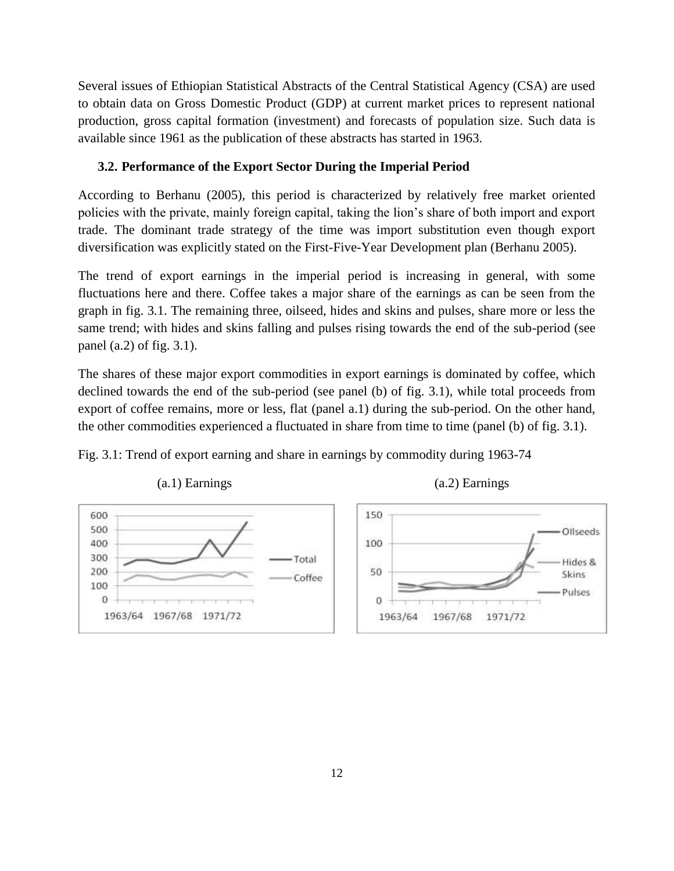Several issues of Ethiopian Statistical Abstracts of the Central Statistical Agency (CSA) are used to obtain data on Gross Domestic Product (GDP) at current market prices to represent national production, gross capital formation (investment) and forecasts of population size. Such data is available since 1961 as the publication of these abstracts has started in 1963.

## **3.2. Performance of the Export Sector During the Imperial Period**

According to Berhanu (2005), this period is characterized by relatively free market oriented policies with the private, mainly foreign capital, taking the lion"s share of both import and export trade. The dominant trade strategy of the time was import substitution even though export diversification was explicitly stated on the First-Five-Year Development plan (Berhanu 2005).

The trend of export earnings in the imperial period is increasing in general, with some fluctuations here and there. Coffee takes a major share of the earnings as can be seen from the graph in fig. 3.1. The remaining three, oilseed, hides and skins and pulses, share more or less the same trend; with hides and skins falling and pulses rising towards the end of the sub-period (see panel (a.2) of fig. 3.1).

The shares of these major export commodities in export earnings is dominated by coffee, which declined towards the end of the sub-period (see panel (b) of fig. 3.1), while total proceeds from export of coffee remains, more or less, flat (panel a.1) during the sub-period. On the other hand, the other commodities experienced a fluctuated in share from time to time (panel (b) of fig. 3.1).

Fig. 3.1: Trend of export earning and share in earnings by commodity during 1963-74



(a.1) Earnings (a.2) Earnings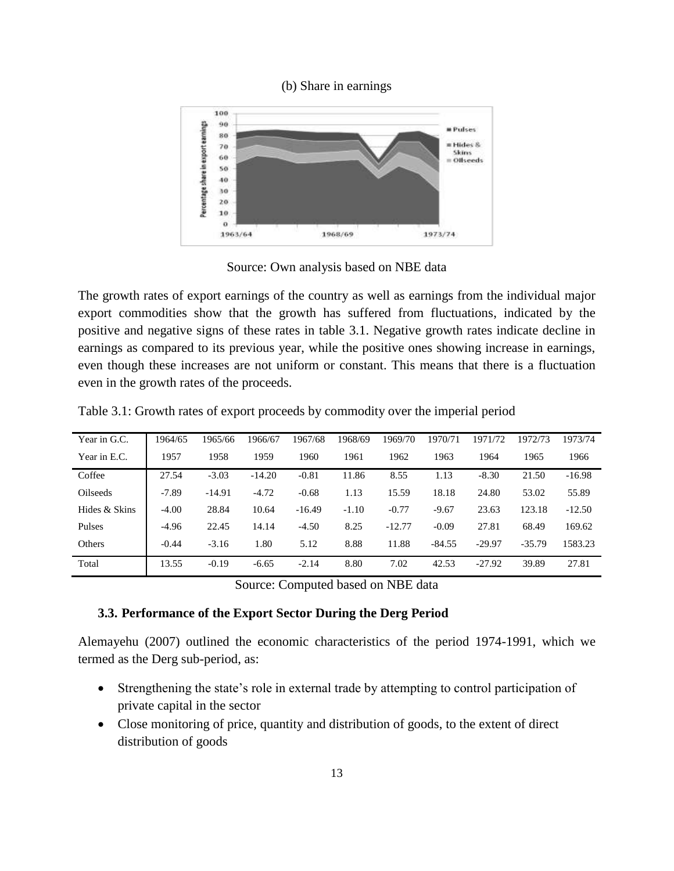#### (b) Share in earnings



Source: Own analysis based on NBE data

The growth rates of export earnings of the country as well as earnings from the individual major export commodities show that the growth has suffered from fluctuations, indicated by the positive and negative signs of these rates in table 3.1. Negative growth rates indicate decline in earnings as compared to its previous year, while the positive ones showing increase in earnings, even though these increases are not uniform or constant. This means that there is a fluctuation even in the growth rates of the proceeds.

| Year in G.C.  | 1964/65 | 1965/66  | 1966/67  | 1967/68  | 1968/69 | 1969/70  | 1970/71  | 1971/72  | 1972/73  | 1973/74  |
|---------------|---------|----------|----------|----------|---------|----------|----------|----------|----------|----------|
| Year in E.C.  | 1957    | 1958     | 1959     | 1960     | 1961    | 1962     | 1963     | 1964     | 1965     | 1966     |
| Coffee        | 27.54   | $-3.03$  | $-14.20$ | $-0.81$  | 11.86   | 8.55     | 1.13     | $-8.30$  | 21.50    | $-16.98$ |
| Oilseeds      | $-7.89$ | $-14.91$ | $-4.72$  | $-0.68$  | 1.13    | 15.59    | 18.18    | 24.80    | 53.02    | 55.89    |
| Hides & Skins | $-4.00$ | 28.84    | 10.64    | $-16.49$ | $-1.10$ | $-0.77$  | $-9.67$  | 23.63    | 123.18   | $-12.50$ |
| Pulses        | $-4.96$ | 22.45    | 14.14    | $-4.50$  | 8.25    | $-12.77$ | $-0.09$  | 27.81    | 68.49    | 169.62   |
| Others        | $-0.44$ | $-3.16$  | 1.80     | 5.12     | 8.88    | 11.88    | $-84.55$ | $-29.97$ | $-35.79$ | 1583.23  |
| Total         | 13.55   | $-0.19$  | $-6.65$  | $-2.14$  | 8.80    | 7.02     | 42.53    | $-27.92$ | 39.89    | 27.81    |

Table 3.1: Growth rates of export proceeds by commodity over the imperial period

Source: Computed based on NBE data

#### **3.3. Performance of the Export Sector During the Derg Period**

Alemayehu (2007) outlined the economic characteristics of the period 1974-1991, which we termed as the Derg sub-period, as:

- Strengthening the state"s role in external trade by attempting to control participation of private capital in the sector
- Close monitoring of price, quantity and distribution of goods, to the extent of direct distribution of goods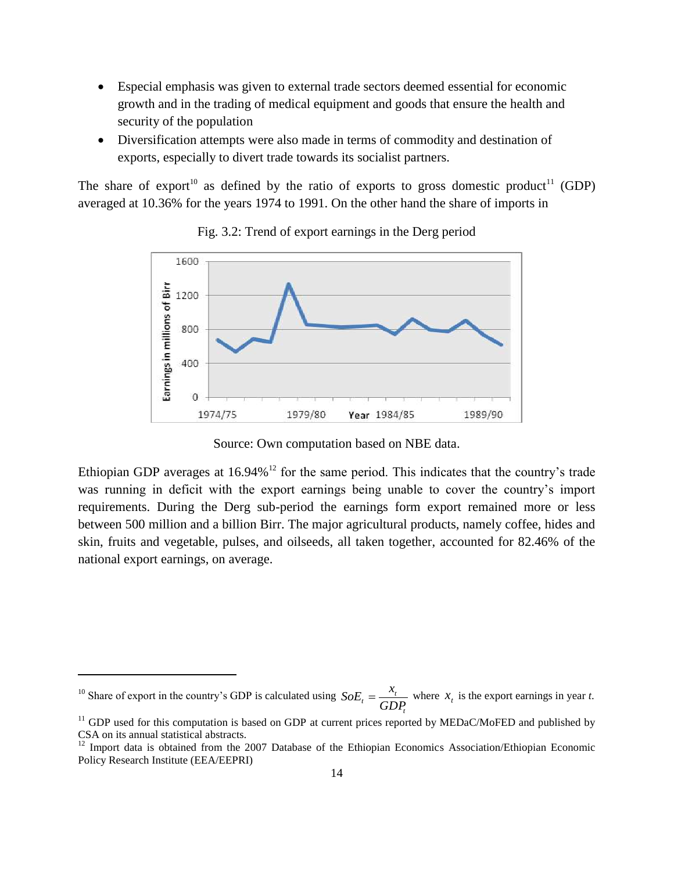- Especial emphasis was given to external trade sectors deemed essential for economic growth and in the trading of medical equipment and goods that ensure the health and security of the population
- Diversification attempts were also made in terms of commodity and destination of exports, especially to divert trade towards its socialist partners.

The share of export<sup>10</sup> as defined by the ratio of exports to gross domestic product<sup>11</sup> (GDP) averaged at 10.36% for the years 1974 to 1991. On the other hand the share of imports in



Fig. 3.2: Trend of export earnings in the Derg period

Source: Own computation based on NBE data.

Ethiopian GDP averages at  $16.94\%$ <sup>12</sup> for the same period. This indicates that the country's trade was running in deficit with the export earnings being unable to cover the country's import requirements. During the Derg sub-period the earnings form export remained more or less between 500 million and a billion Birr. The major agricultural products, namely coffee, hides and skin, fruits and vegetable, pulses, and oilseeds, all taken together, accounted for 82.46% of the national export earnings, on average.

1

 $10$  Share of export in the country's GDP is calculated using *t*  $\frac{d}{dt} = \frac{A_t}{GDP_t}$  $SoE_t = \frac{x_t}{\sum_{i} p_i}$  where  $x_t$  is the export earnings in year *t*.

 $11$  GDP used for this computation is based on GDP at current prices reported by MEDaC/MoFED and published by CSA on its annual statistical abstracts.

<sup>&</sup>lt;sup>12</sup> Import data is obtained from the 2007 Database of the Ethiopian Economics Association/Ethiopian Economic Policy Research Institute (EEA/EEPRI)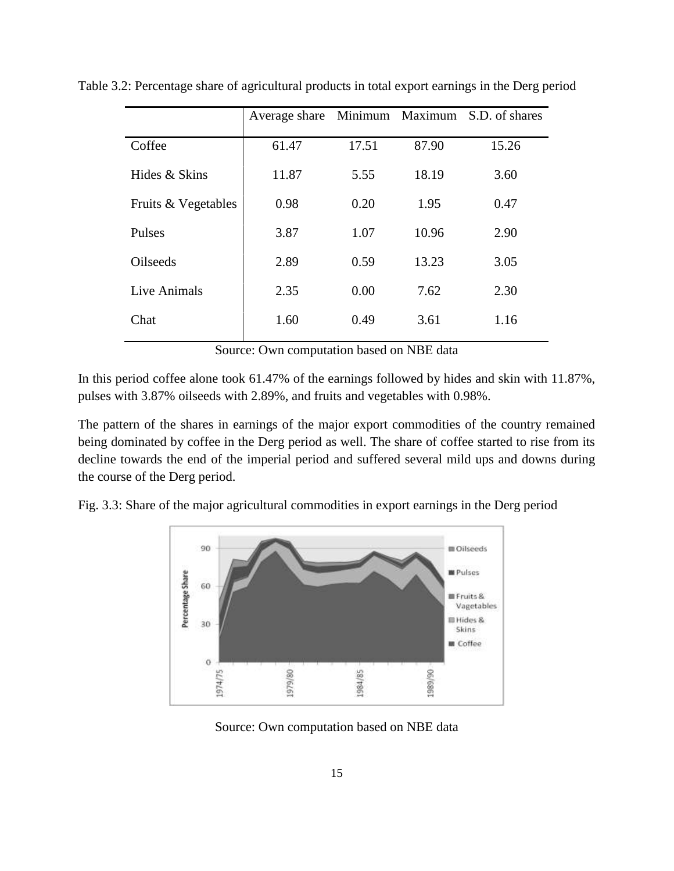|                     | Average share Minimum Maximum S.D. of shares |       |       |       |
|---------------------|----------------------------------------------|-------|-------|-------|
| Coffee              | 61.47                                        | 17.51 | 87.90 | 15.26 |
| Hides & Skins       | 11.87                                        | 5.55  | 18.19 | 3.60  |
| Fruits & Vegetables | 0.98                                         | 0.20  | 1.95  | 0.47  |
| Pulses              | 3.87                                         | 1.07  | 10.96 | 2.90  |
| Oilseeds            | 2.89                                         | 0.59  | 13.23 | 3.05  |
| Live Animals        | 2.35                                         | 0.00  | 7.62  | 2.30  |
| Chat                | 1.60                                         | 0.49  | 3.61  | 1.16  |

Table 3.2: Percentage share of agricultural products in total export earnings in the Derg period

Source: Own computation based on NBE data

In this period coffee alone took 61.47% of the earnings followed by hides and skin with 11.87%, pulses with 3.87% oilseeds with 2.89%, and fruits and vegetables with 0.98%.

The pattern of the shares in earnings of the major export commodities of the country remained being dominated by coffee in the Derg period as well. The share of coffee started to rise from its decline towards the end of the imperial period and suffered several mild ups and downs during the course of the Derg period.

Fig. 3.3: Share of the major agricultural commodities in export earnings in the Derg period



Source: Own computation based on NBE data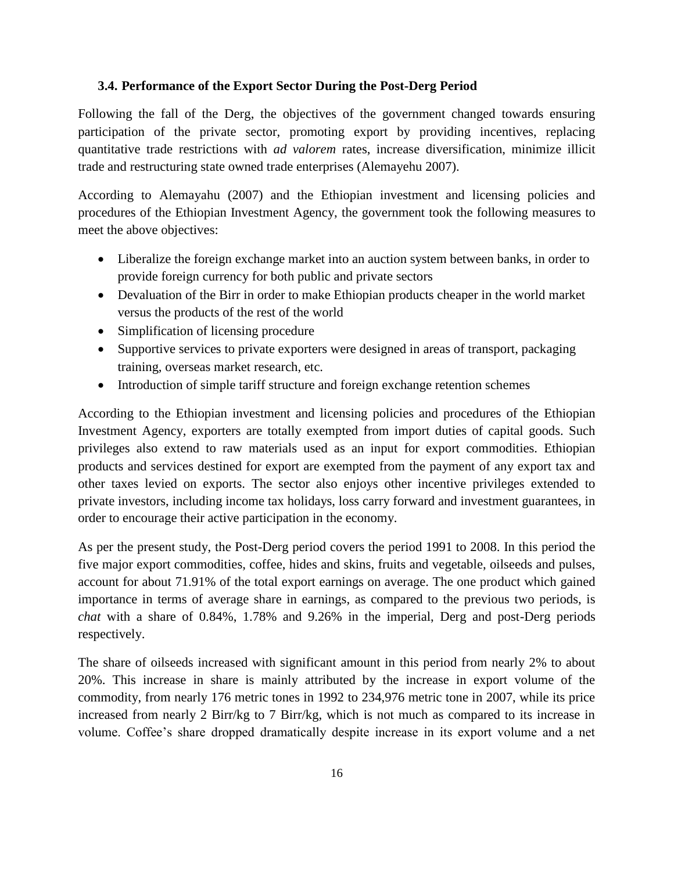#### **3.4. Performance of the Export Sector During the Post-Derg Period**

Following the fall of the Derg, the objectives of the government changed towards ensuring participation of the private sector, promoting export by providing incentives, replacing quantitative trade restrictions with *ad valorem* rates, increase diversification, minimize illicit trade and restructuring state owned trade enterprises (Alemayehu 2007).

According to Alemayahu (2007) and the Ethiopian investment and licensing policies and procedures of the Ethiopian Investment Agency, the government took the following measures to meet the above objectives:

- Liberalize the foreign exchange market into an auction system between banks, in order to provide foreign currency for both public and private sectors
- Devaluation of the Birr in order to make Ethiopian products cheaper in the world market versus the products of the rest of the world
- Simplification of licensing procedure
- Supportive services to private exporters were designed in areas of transport, packaging training, overseas market research, etc.
- Introduction of simple tariff structure and foreign exchange retention schemes

According to the Ethiopian investment and licensing policies and procedures of the Ethiopian Investment Agency, exporters are totally exempted from import duties of capital goods. Such privileges also extend to raw materials used as an input for export commodities. Ethiopian products and services destined for export are exempted from the payment of any export tax and other taxes levied on exports. The sector also enjoys other incentive privileges extended to private investors, including income tax holidays, loss carry forward and investment guarantees, in order to encourage their active participation in the economy.

As per the present study, the Post-Derg period covers the period 1991 to 2008. In this period the five major export commodities, coffee, hides and skins, fruits and vegetable, oilseeds and pulses, account for about 71.91% of the total export earnings on average. The one product which gained importance in terms of average share in earnings, as compared to the previous two periods, is *chat* with a share of 0.84%, 1.78% and 9.26% in the imperial, Derg and post-Derg periods respectively.

The share of oilseeds increased with significant amount in this period from nearly 2% to about 20%. This increase in share is mainly attributed by the increase in export volume of the commodity, from nearly 176 metric tones in 1992 to 234,976 metric tone in 2007, while its price increased from nearly 2 Birr/kg to 7 Birr/kg, which is not much as compared to its increase in volume. Coffee"s share dropped dramatically despite increase in its export volume and a net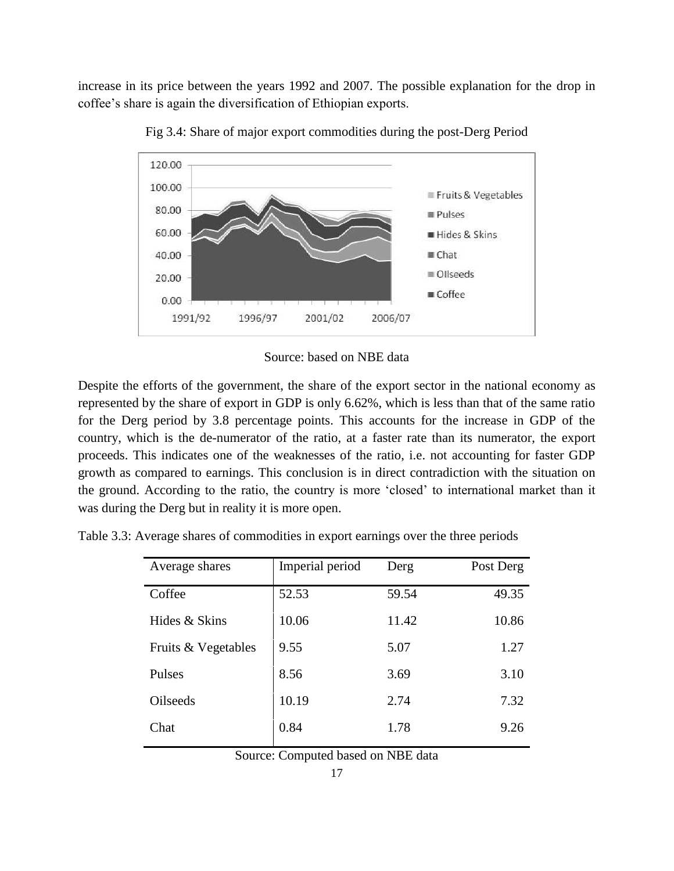increase in its price between the years 1992 and 2007. The possible explanation for the drop in coffee"s share is again the diversification of Ethiopian exports.





Source: based on NBE data

Despite the efforts of the government, the share of the export sector in the national economy as represented by the share of export in GDP is only 6.62%, which is less than that of the same ratio for the Derg period by 3.8 percentage points. This accounts for the increase in GDP of the country, which is the de-numerator of the ratio, at a faster rate than its numerator, the export proceeds. This indicates one of the weaknesses of the ratio, i.e. not accounting for faster GDP growth as compared to earnings. This conclusion is in direct contradiction with the situation on the ground. According to the ratio, the country is more "closed" to international market than it was during the Derg but in reality it is more open.

| Table 3.3: Average shares of commodities in export earnings over the three periods |  |  |  |
|------------------------------------------------------------------------------------|--|--|--|
|                                                                                    |  |  |  |

| Average shares      | Imperial period | Derg  | Post Derg |
|---------------------|-----------------|-------|-----------|
| Coffee              | 52.53           | 59.54 | 49.35     |
| Hides & Skins       | 10.06           | 11.42 | 10.86     |
| Fruits & Vegetables | 9.55            | 5.07  | 1.27      |
| Pulses              | 8.56            | 3.69  | 3.10      |
| <b>Oilseeds</b>     | 10.19           | 2.74  | 7.32      |
| Chat                | 0.84            | 1.78  | 9.26      |

Source: Computed based on NBE data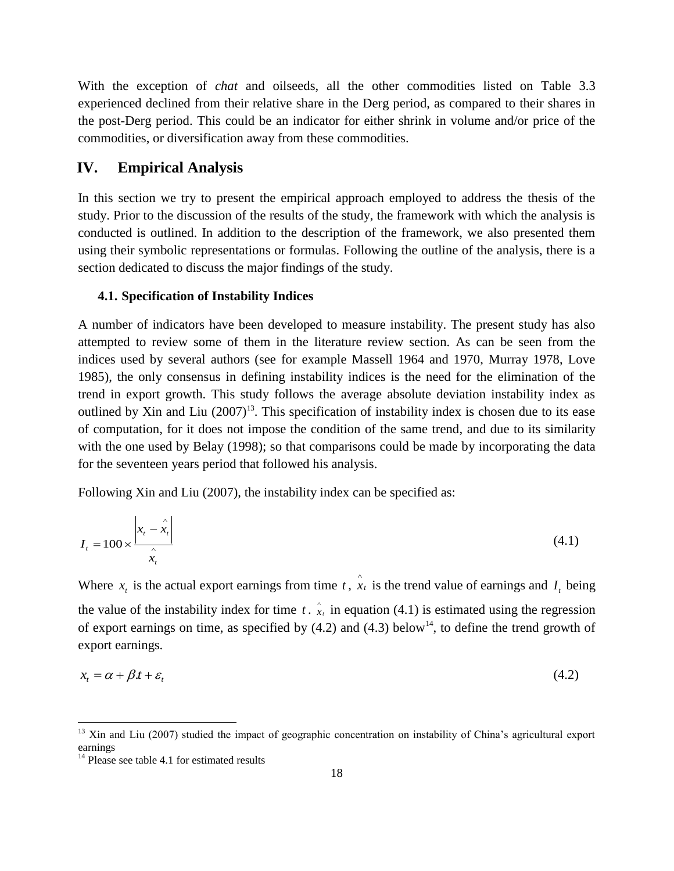With the exception of *chat* and oilseeds, all the other commodities listed on Table 3.3 experienced declined from their relative share in the Derg period, as compared to their shares in the post-Derg period. This could be an indicator for either shrink in volume and/or price of the commodities, or diversification away from these commodities.

# **IV. Empirical Analysis**

In this section we try to present the empirical approach employed to address the thesis of the study. Prior to the discussion of the results of the study, the framework with which the analysis is conducted is outlined. In addition to the description of the framework, we also presented them using their symbolic representations or formulas. Following the outline of the analysis, there is a section dedicated to discuss the major findings of the study.

#### **4.1. Specification of Instability Indices**

A number of indicators have been developed to measure instability. The present study has also attempted to review some of them in the literature review section. As can be seen from the indices used by several authors (see for example Massell 1964 and 1970, Murray 1978, Love 1985), the only consensus in defining instability indices is the need for the elimination of the trend in export growth. This study follows the average absolute deviation instability index as outlined by Xin and Liu  $(2007)^{13}$ . This specification of instability index is chosen due to its ease of computation, for it does not impose the condition of the same trend, and due to its similarity with the one used by Belay (1998); so that comparisons could be made by incorporating the data for the seventeen years period that followed his analysis.

Following Xin and Liu (2007), the instability index can be specified as:

$$
I_t = 100 \times \frac{\left| x_t - \hat{x}_t \right|}{\hat{x}_t} \tag{4.1}
$$

Where  $x_t$  is the actual export earnings from time  $t$ ,  $\hat{x}_t$  is the trend value of earnings and  $I_t$  being the value of the instability index for time  $t \cdot \hat{x}_t$  in equation (4.1) is estimated using the regression of export earnings on time, as specified by  $(4.2)$  and  $(4.3)$  below<sup>14</sup>, to define the trend growth of export earnings.

$$
x_t = \alpha + \beta t + \varepsilon_t \tag{4.2}
$$

**.** 

 $13$  Xin and Liu (2007) studied the impact of geographic concentration on instability of China's agricultural export earnings

<sup>&</sup>lt;sup>14</sup> Please see table 4.1 for estimated results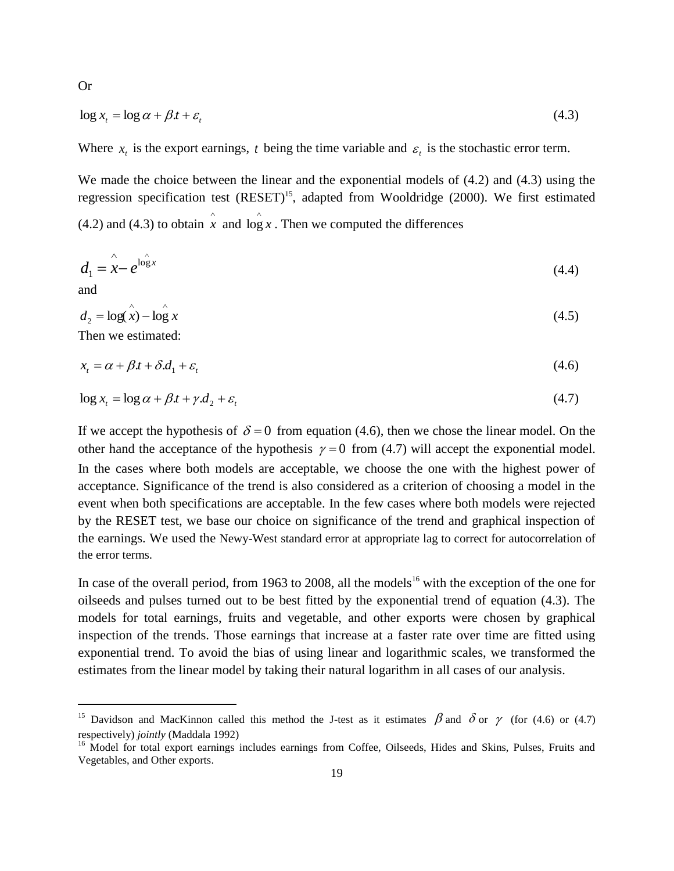$$
\log x_t = \log \alpha + \beta t + \varepsilon_t \tag{4.3}
$$

Where  $x_t$  is the export earnings, t being the time variable and  $\varepsilon_t$  is the stochastic error term.

We made the choice between the linear and the exponential models of  $(4.2)$  and  $(4.3)$  using the regression specification test  $(REST)^{15}$ , adapted from Wooldridge (2000). We first estimated (4.2) and (4.3) to obtain  $\hat{x}$  and  $\log x$ . Then we computed the differences

$$
d_1 = \mathbf{x} - e^{\log x} \tag{4.4}
$$

and

**.** 

$$
d_2 = \log(\mathbf{x}) - \log \mathbf{x} \tag{4.5}
$$

Then we estimated:

$$
x_t = \alpha + \beta t + \delta d_1 + \varepsilon_t \tag{4.6}
$$

$$
\log x_t = \log \alpha + \beta t + \gamma \cdot d_2 + \varepsilon_t \tag{4.7}
$$

If we accept the hypothesis of  $\delta = 0$  from equation (4.6), then we chose the linear model. On the other hand the acceptance of the hypothesis  $\gamma = 0$  from (4.7) will accept the exponential model. In the cases where both models are acceptable, we choose the one with the highest power of acceptance. Significance of the trend is also considered as a criterion of choosing a model in the event when both specifications are acceptable. In the few cases where both models were rejected by the RESET test, we base our choice on significance of the trend and graphical inspection of the earnings. We used the Newy-West standard error at appropriate lag to correct for autocorrelation of the error terms.

In case of the overall period, from 1963 to 2008, all the models<sup>16</sup> with the exception of the one for oilseeds and pulses turned out to be best fitted by the exponential trend of equation (4.3). The models for total earnings, fruits and vegetable, and other exports were chosen by graphical inspection of the trends. Those earnings that increase at a faster rate over time are fitted using exponential trend. To avoid the bias of using linear and logarithmic scales, we transformed the estimates from the linear model by taking their natural logarithm in all cases of our analysis.

Or

<sup>&</sup>lt;sup>15</sup> Davidson and MacKinnon called this method the J-test as it estimates  $\beta$  and  $\delta$  or  $\gamma$  (for (4.6) or (4.7) respectively) *jointly* (Maddala 1992)

<sup>&</sup>lt;sup>16</sup> Model for total export earnings includes earnings from Coffee, Oilseeds, Hides and Skins, Pulses, Fruits and Vegetables, and Other exports.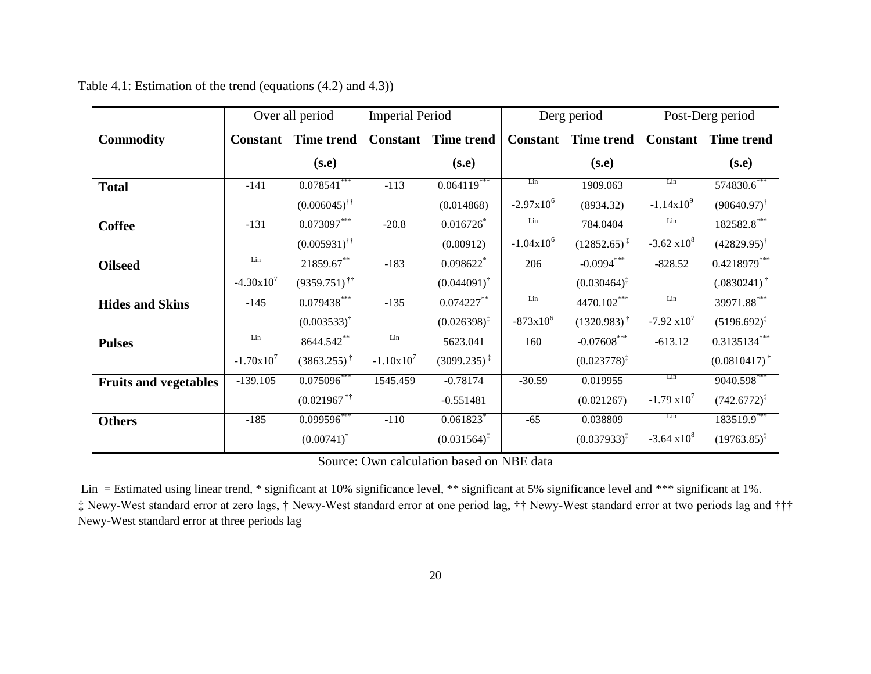|                              |                 | Over all period               | <b>Imperial Period</b> |                         | Derg period     |                           |                       |                         | Post-Derg period |  |
|------------------------------|-----------------|-------------------------------|------------------------|-------------------------|-----------------|---------------------------|-----------------------|-------------------------|------------------|--|
| <b>Commodity</b>             | <b>Constant</b> | <b>Time trend</b>             | <b>Constant</b>        | <b>Time trend</b>       | <b>Constant</b> | <b>Time trend</b>         | <b>Constant</b>       | <b>Time trend</b>       |                  |  |
|                              |                 | (s.e)                         |                        | (s.e)                   |                 | (s.e)                     |                       | (s.e)                   |                  |  |
| <b>Total</b>                 | $-141$          | $0.078541$ ***                | $-113$                 | $0.064119$ **           | Lin             | 1909.063                  | Lin                   | 574830.6                |                  |  |
|                              |                 | $(0.006045)^{\dagger\dagger}$ |                        | (0.014868)              | $-2.97x10^{6}$  | (8934.32)                 | $-1.14 \times 10^{9}$ | $(90640.97)^{\dagger}$  |                  |  |
| <b>Coffee</b>                | $-131$          | $0.073097$ **                 | $-20.8$                | 0.016726                | Lin             | 784.0404                  | Lin                   | 182582.8**              |                  |  |
|                              |                 | $(0.005931)^{\dagger\dagger}$ |                        | (0.00912)               | $-1.04x10^{6}$  | $(12852.65)^{\ddagger}$   | $-3.62 \times 10^8$   | $(42829.95)^{\dagger}$  |                  |  |
| <b>Oilseed</b>               | Lin             | 21859.67**                    | $-183$                 | $0.098622$ <sup>*</sup> | 206             | $-0.0994$ ***             | $-828.52$             | $0.4218979$ **          |                  |  |
|                              | $-4.30x10^{7}$  | $(9359.751)$ <sup>††</sup>    |                        | $(0.044091)^{\dagger}$  |                 | $(0.030464)^{\ddagger}$   |                       | $(.0830241)^{\dagger}$  |                  |  |
| <b>Hides and Skins</b>       | $-145$          | $0.079438***$                 | $-135$                 | $0.074227$ **           | Lin             | 4470.102***               | Lin                   | 39971.88***             |                  |  |
|                              |                 | $(0.003533)^{\dagger}$        |                        | $(0.026398)^{\ddagger}$ | $-873x10^{6}$   | $(1320.983)$ <sup>†</sup> | $-7.92 \times 10^{7}$ | $(5196.692)^{\ddagger}$ |                  |  |
| <b>Pulses</b>                | Lin             | 8644.542                      | Lin                    | 5623.041                | 160             | $-0.07608$ **             | $-613.12$             | $0.3135134$ **          |                  |  |
|                              | $-1.70x10^{7}$  | $(3863.255)^{\dagger}$        | $-1.10x10^{7}$         | $(3099.235)^{\ddagger}$ |                 | $(0.023778)^{\ddagger}$   |                       | $(0.0810417)^{\dagger}$ |                  |  |
| <b>Fruits and vegetables</b> | $-139.105$      | $0.075\overline{096}^{***}$   | 1545.459               | $-0.78174$              | $-30.59$        | 0.019955                  | Lin                   | 9040.598***             |                  |  |
|                              |                 | $(0.021967$ <sup>††</sup>     |                        | $-0.551481$             |                 | (0.021267)                | $-1.79 \times 10^{7}$ | $(742.6772)^{\ddagger}$ |                  |  |
| <b>Others</b>                | $-185$          | $0.099596$ **                 | $-110$                 | $0.061823$ <sup>*</sup> | $-65$           | 0.038809                  | Lin                   | 183519.9***             |                  |  |
|                              |                 | $(0.00741)^{\dagger}$         |                        | $(0.031564)^{\ddagger}$ |                 | $(0.037933)^{\ddagger}$   | $-3.64 \times 10^8$   | $(19763.85)^{\ddagger}$ |                  |  |

Table 4.1: Estimation of the trend (equations (4.2) and 4.3))

Source: Own calculation based on NBE data

Lin = Estimated using linear trend, \* significant at 10% significance level, \*\* significant at 5% significance level and \*\*\* significant at 1%. ‡ Newy-West standard error at zero lags, † Newy-West standard error at one period lag, †† Newy-West standard error at two periods lag and ††† Newy-West standard error at three periods lag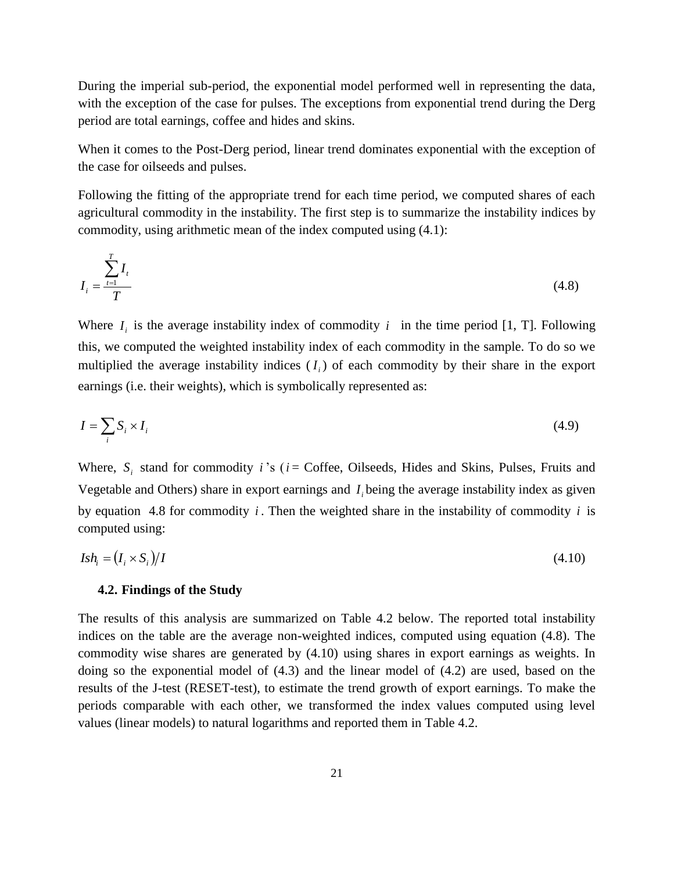During the imperial sub-period, the exponential model performed well in representing the data, with the exception of the case for pulses. The exceptions from exponential trend during the Derg period are total earnings, coffee and hides and skins.

When it comes to the Post-Derg period, linear trend dominates exponential with the exception of the case for oilseeds and pulses.

Following the fitting of the appropriate trend for each time period, we computed shares of each agricultural commodity in the instability. The first step is to summarize the instability indices by commodity, using arithmetic mean of the index computed using (4.1):

$$
I_i = \frac{\sum_{t=1}^{T} I_t}{T}
$$
\n
$$
(4.8)
$$

Where  $I_i$  is the average instability index of commodity i in the time period [1, T]. Following this, we computed the weighted instability index of each commodity in the sample. To do so we multiplied the average instability indices  $(I_i)$  of each commodity by their share in the export earnings (i.e. their weights), which is symbolically represented as:

$$
I = \sum_{i} S_i \times I_i \tag{4.9}
$$

Where,  $S_i$  stand for commodity *i*'s ( $i$  = Coffee, Oilseeds, Hides and Skins, Pulses, Fruits and Vegetable and Others) share in export earnings and  $I_i$  being the average instability index as given by equation 4.8 for commodity  $i$ . Then the weighted share in the instability of commodity  $i$  is computed using:

$$
Ish_i = (I_i \times S_i)/I \tag{4.10}
$$

#### **4.2. Findings of the Study**

The results of this analysis are summarized on Table 4.2 below. The reported total instability indices on the table are the average non-weighted indices, computed using equation (4.8). The commodity wise shares are generated by (4.10) using shares in export earnings as weights. In doing so the exponential model of (4.3) and the linear model of (4.2) are used, based on the results of the J-test (RESET-test), to estimate the trend growth of export earnings. To make the periods comparable with each other, we transformed the index values computed using level values (linear models) to natural logarithms and reported them in Table 4.2.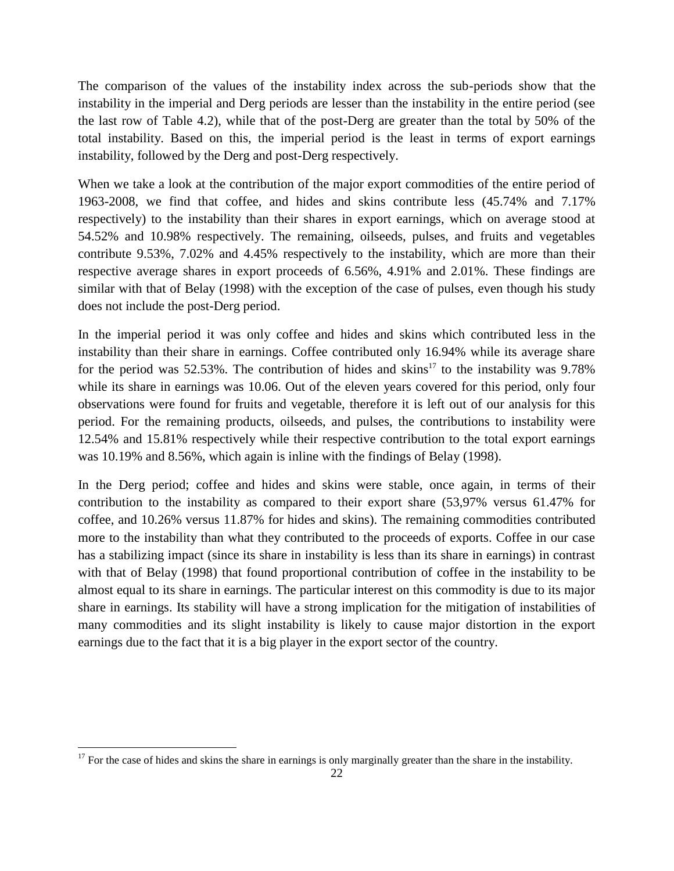The comparison of the values of the instability index across the sub-periods show that the instability in the imperial and Derg periods are lesser than the instability in the entire period (see the last row of Table 4.2), while that of the post-Derg are greater than the total by 50% of the total instability. Based on this, the imperial period is the least in terms of export earnings instability, followed by the Derg and post-Derg respectively.

When we take a look at the contribution of the major export commodities of the entire period of 1963-2008, we find that coffee, and hides and skins contribute less (45.74% and 7.17% respectively) to the instability than their shares in export earnings, which on average stood at 54.52% and 10.98% respectively. The remaining, oilseeds, pulses, and fruits and vegetables contribute 9.53%, 7.02% and 4.45% respectively to the instability, which are more than their respective average shares in export proceeds of 6.56%, 4.91% and 2.01%. These findings are similar with that of Belay (1998) with the exception of the case of pulses, even though his study does not include the post-Derg period.

In the imperial period it was only coffee and hides and skins which contributed less in the instability than their share in earnings. Coffee contributed only 16.94% while its average share for the period was 52.53%. The contribution of hides and skins<sup>17</sup> to the instability was 9.78% while its share in earnings was 10.06. Out of the eleven years covered for this period, only four observations were found for fruits and vegetable, therefore it is left out of our analysis for this period. For the remaining products, oilseeds, and pulses, the contributions to instability were 12.54% and 15.81% respectively while their respective contribution to the total export earnings was 10.19% and 8.56%, which again is inline with the findings of Belay (1998).

In the Derg period; coffee and hides and skins were stable, once again, in terms of their contribution to the instability as compared to their export share (53,97% versus 61.47% for coffee, and 10.26% versus 11.87% for hides and skins). The remaining commodities contributed more to the instability than what they contributed to the proceeds of exports. Coffee in our case has a stabilizing impact (since its share in instability is less than its share in earnings) in contrast with that of Belay (1998) that found proportional contribution of coffee in the instability to be almost equal to its share in earnings. The particular interest on this commodity is due to its major share in earnings. Its stability will have a strong implication for the mitigation of instabilities of many commodities and its slight instability is likely to cause major distortion in the export earnings due to the fact that it is a big player in the export sector of the country.

1

 $17$  For the case of hides and skins the share in earnings is only marginally greater than the share in the instability.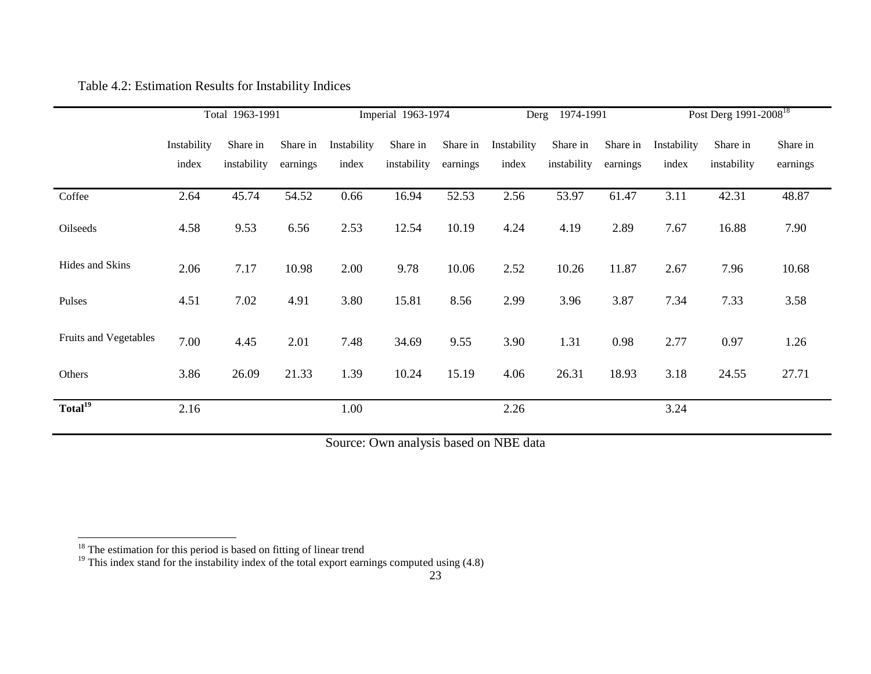# Table 4.2: Estimation Results for Instability Indices

|                       | Total 1963-1991 |             | Imperial 1963-1974 |             | 1974-1991<br>Derg |          |             | Post Derg 1991-2008 <sup>18</sup> |          |             |             |          |
|-----------------------|-----------------|-------------|--------------------|-------------|-------------------|----------|-------------|-----------------------------------|----------|-------------|-------------|----------|
|                       | Instability     | Share in    | Share in           | Instability | Share in          | Share in | Instability | Share in                          | Share in | Instability | Share in    | Share in |
|                       | index           | instability | earnings           | index       | instability       | earnings | index       | instability                       | earnings | index       | instability | earnings |
| Coffee                | 2.64            | 45.74       | 54.52              | 0.66        | 16.94             | 52.53    | 2.56        | 53.97                             | 61.47    | 3.11        | 42.31       | 48.87    |
| Oilseeds              | 4.58            | 9.53        | 6.56               | 2.53        | 12.54             | 10.19    | 4.24        | 4.19                              | 2.89     | 7.67        | 16.88       | 7.90     |
| Hides and Skins       | 2.06            | 7.17        | 10.98              | 2.00        | 9.78              | 10.06    | 2.52        | 10.26                             | 11.87    | 2.67        | 7.96        | 10.68    |
| Pulses                | 4.51            | 7.02        | 4.91               | 3.80        | 15.81             | 8.56     | 2.99        | 3.96                              | 3.87     | 7.34        | 7.33        | 3.58     |
| Fruits and Vegetables | 7.00            | 4.45        | 2.01               | 7.48        | 34.69             | 9.55     | 3.90        | 1.31                              | 0.98     | 2.77        | 0.97        | 1.26     |
| Others                | 3.86            | 26.09       | 21.33              | 1.39        | 10.24             | 15.19    | 4.06        | 26.31                             | 18.93    | 3.18        | 24.55       | 27.71    |
| Total <sup>19</sup>   | 2.16            |             |                    | 1.00        |                   |          | 2.26        |                                   |          | 3.24        |             |          |

Source: Own analysis based on NBE data

**.** 

 $18$  The estimation for this period is based on fitting of linear trend

 $19$  This index stand for the instability index of the total export earnings computed using (4.8)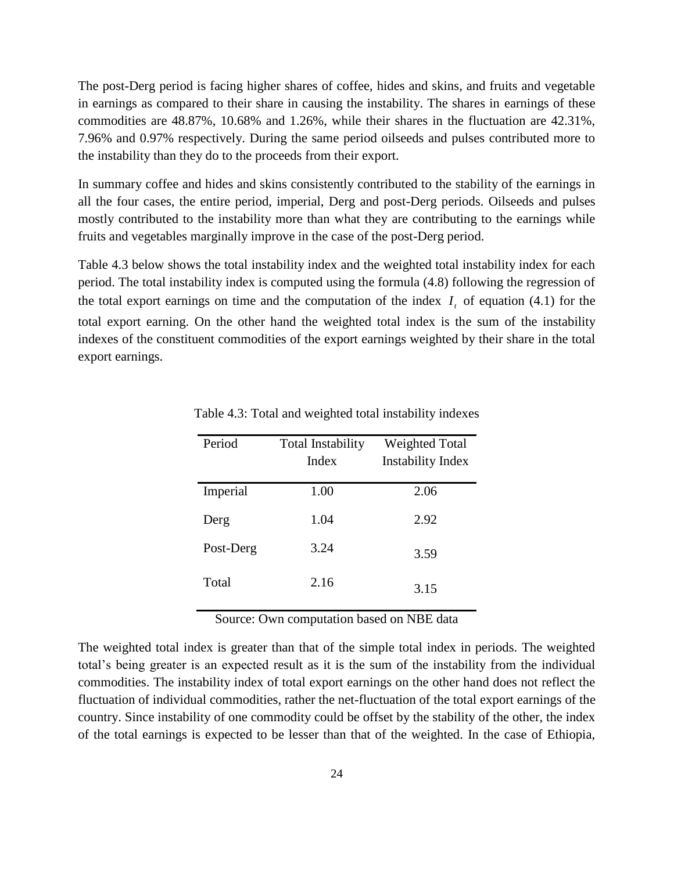The post-Derg period is facing higher shares of coffee, hides and skins, and fruits and vegetable in earnings as compared to their share in causing the instability. The shares in earnings of these commodities are 48.87%, 10.68% and 1.26%, while their shares in the fluctuation are 42.31%, 7.96% and 0.97% respectively. During the same period oilseeds and pulses contributed more to the instability than they do to the proceeds from their export.

In summary coffee and hides and skins consistently contributed to the stability of the earnings in all the four cases, the entire period, imperial, Derg and post-Derg periods. Oilseeds and pulses mostly contributed to the instability more than what they are contributing to the earnings while fruits and vegetables marginally improve in the case of the post-Derg period.

Table 4.3 below shows the total instability index and the weighted total instability index for each period. The total instability index is computed using the formula (4.8) following the regression of the total export earnings on time and the computation of the index  $I<sub>t</sub>$  of equation (4.1) for the total export earning. On the other hand the weighted total index is the sum of the instability indexes of the constituent commodities of the export earnings weighted by their share in the total export earnings.

| Period    | Total Instability | <b>Weighted Total</b>    |
|-----------|-------------------|--------------------------|
|           | Index             | <b>Instability Index</b> |
| Imperial  | 1.00              | 2.06                     |
| Derg      | 1.04              | 2.92                     |
| Post-Derg | 3.24              | 3.59                     |
| Total     | 2.16              | 3.15                     |

Table 4.3: Total and weighted total instability indexes

Source: Own computation based on NBE data

The weighted total index is greater than that of the simple total index in periods. The weighted total"s being greater is an expected result as it is the sum of the instability from the individual commodities. The instability index of total export earnings on the other hand does not reflect the fluctuation of individual commodities, rather the net-fluctuation of the total export earnings of the country. Since instability of one commodity could be offset by the stability of the other, the index of the total earnings is expected to be lesser than that of the weighted. In the case of Ethiopia,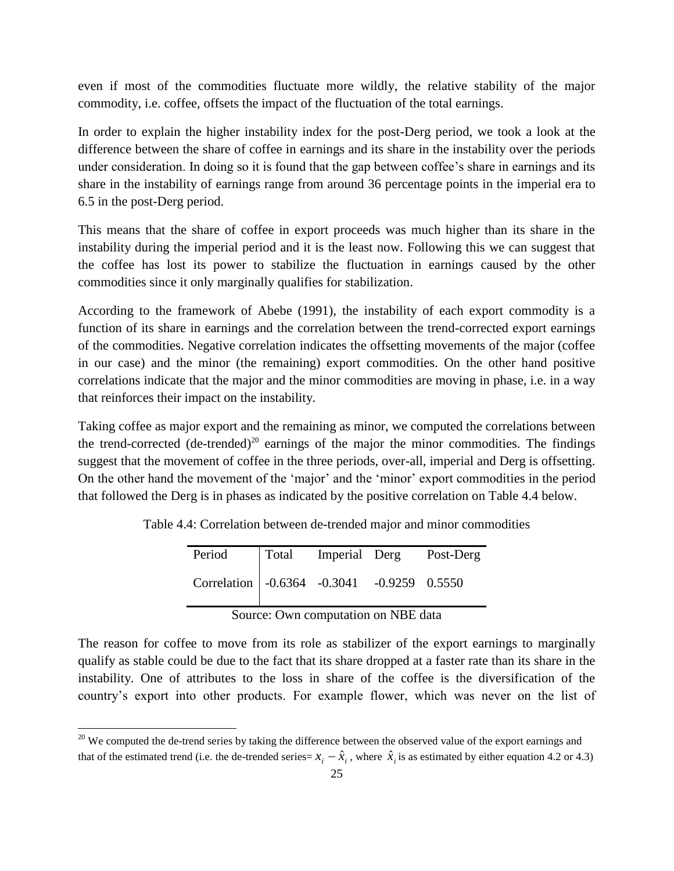even if most of the commodities fluctuate more wildly, the relative stability of the major commodity, i.e. coffee, offsets the impact of the fluctuation of the total earnings.

In order to explain the higher instability index for the post-Derg period, we took a look at the difference between the share of coffee in earnings and its share in the instability over the periods under consideration. In doing so it is found that the gap between coffee's share in earnings and its share in the instability of earnings range from around 36 percentage points in the imperial era to 6.5 in the post-Derg period.

This means that the share of coffee in export proceeds was much higher than its share in the instability during the imperial period and it is the least now. Following this we can suggest that the coffee has lost its power to stabilize the fluctuation in earnings caused by the other commodities since it only marginally qualifies for stabilization.

According to the framework of Abebe (1991), the instability of each export commodity is a function of its share in earnings and the correlation between the trend-corrected export earnings of the commodities. Negative correlation indicates the offsetting movements of the major (coffee in our case) and the minor (the remaining) export commodities. On the other hand positive correlations indicate that the major and the minor commodities are moving in phase, i.e. in a way that reinforces their impact on the instability.

Taking coffee as major export and the remaining as minor, we computed the correlations between the trend-corrected  $(de-trended)^{20}$  earnings of the major the minor commodities. The findings suggest that the movement of coffee in the three periods, over-all, imperial and Derg is offsetting. On the other hand the movement of the "major" and the "minor" export commodities in the period that followed the Derg is in phases as indicated by the positive correlation on Table 4.4 below.

Table 4.4: Correlation between de-trended major and minor commodities

| Period                                       |  | Total Imperial Derg Post-Derg |
|----------------------------------------------|--|-------------------------------|
| Correlation   -0.6364 -0.3041 -0.9259 0.5550 |  |                               |

Source: Own computation on NBE data

The reason for coffee to move from its role as stabilizer of the export earnings to marginally qualify as stable could be due to the fact that its share dropped at a faster rate than its share in the instability. One of attributes to the loss in share of the coffee is the diversification of the country"s export into other products. For example flower, which was never on the list of

**.** 

 $20$  We computed the de-trend series by taking the difference between the observed value of the export earnings and that of the estimated trend (i.e. the de-trended series= $x_i - \hat{x}_i$ , where  $\hat{x}_i$  is as estimated by either equation 4.2 or 4.3)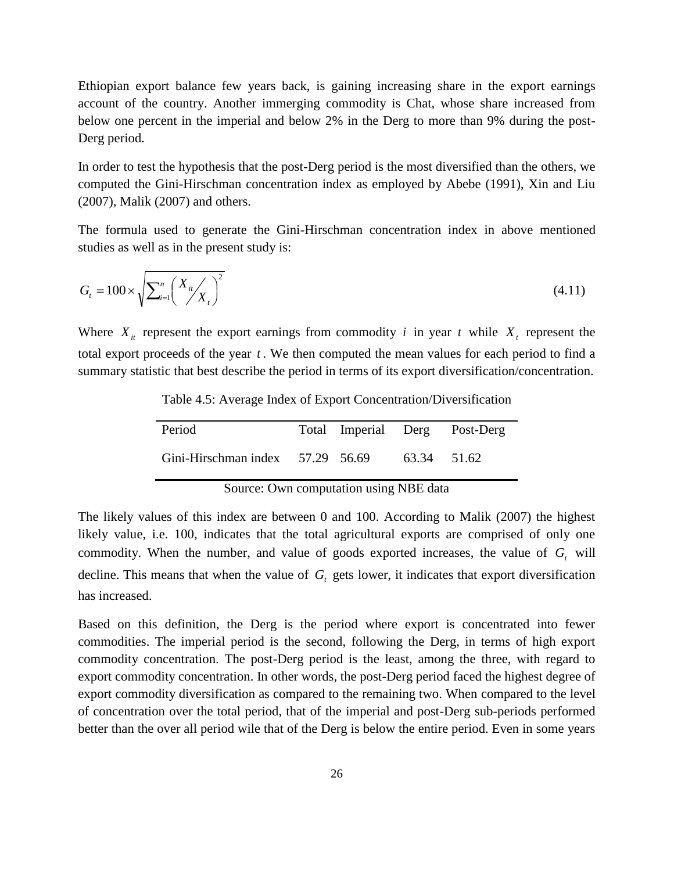Ethiopian export balance few years back, is gaining increasing share in the export earnings account of the country. Another immerging commodity is Chat, whose share increased from below one percent in the imperial and below 2% in the Derg to more than 9% during the post-Derg period.

In order to test the hypothesis that the post-Derg period is the most diversified than the others, we computed the Gini-Hirschman concentration index as employed by Abebe (1991), Xin and Liu (2007), Malik (2007) and others.

The formula used to generate the Gini-Hirschman concentration index in above mentioned studies as well as in the present study is:

$$
G_t = 100 \times \sqrt{\sum_{i=1}^{n} \left( \frac{X_{it}}{X_t} \right)^2}
$$
\n(4.11)

Where  $X_i$  represent the export earnings from commodity *i* in year *t* while  $X_i$  represent the total export proceeds of the year *t* . We then computed the mean values for each period to find a summary statistic that best describe the period in terms of its export diversification/concentration.

| Period                           |  |             | Total Imperial Derg Post-Derg |
|----------------------------------|--|-------------|-------------------------------|
| Gini-Hirschman index 57.29 56.69 |  | 63.34 51.62 |                               |

Table 4.5: Average Index of Export Concentration/Diversification

Source: Own computation using NBE data

The likely values of this index are between 0 and 100. According to Malik (2007) the highest likely value, i.e. 100, indicates that the total agricultural exports are comprised of only one commodity. When the number, and value of goods exported increases, the value of  $G_t$  will decline. This means that when the value of  $G_t$  gets lower, it indicates that export diversification has increased.

Based on this definition, the Derg is the period where export is concentrated into fewer commodities. The imperial period is the second, following the Derg, in terms of high export commodity concentration. The post-Derg period is the least, among the three, with regard to export commodity concentration. In other words, the post-Derg period faced the highest degree of export commodity diversification as compared to the remaining two. When compared to the level of concentration over the total period, that of the imperial and post-Derg sub-periods performed better than the over all period wile that of the Derg is below the entire period. Even in some years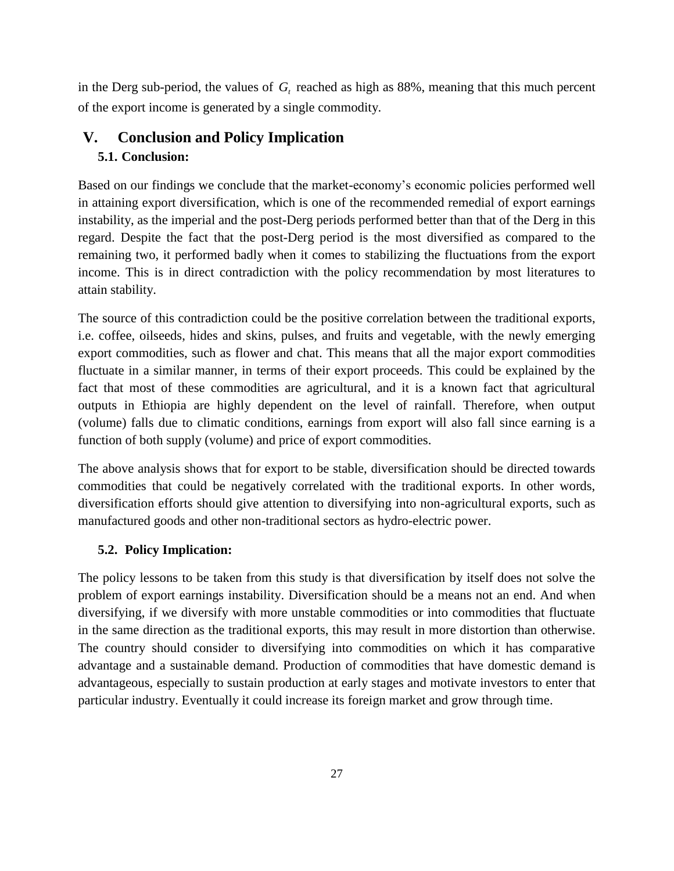in the Derg sub-period, the values of *Gt* reached as high as 88%, meaning that this much percent of the export income is generated by a single commodity.

# **V. Conclusion and Policy Implication 5.1. Conclusion:**

Based on our findings we conclude that the market-economy"s economic policies performed well in attaining export diversification, which is one of the recommended remedial of export earnings instability, as the imperial and the post-Derg periods performed better than that of the Derg in this regard. Despite the fact that the post-Derg period is the most diversified as compared to the remaining two, it performed badly when it comes to stabilizing the fluctuations from the export income. This is in direct contradiction with the policy recommendation by most literatures to attain stability.

The source of this contradiction could be the positive correlation between the traditional exports, i.e. coffee, oilseeds, hides and skins, pulses, and fruits and vegetable, with the newly emerging export commodities, such as flower and chat. This means that all the major export commodities fluctuate in a similar manner, in terms of their export proceeds. This could be explained by the fact that most of these commodities are agricultural, and it is a known fact that agricultural outputs in Ethiopia are highly dependent on the level of rainfall. Therefore, when output (volume) falls due to climatic conditions, earnings from export will also fall since earning is a function of both supply (volume) and price of export commodities.

The above analysis shows that for export to be stable, diversification should be directed towards commodities that could be negatively correlated with the traditional exports. In other words, diversification efforts should give attention to diversifying into non-agricultural exports, such as manufactured goods and other non-traditional sectors as hydro-electric power.

# **5.2. Policy Implication:**

The policy lessons to be taken from this study is that diversification by itself does not solve the problem of export earnings instability. Diversification should be a means not an end. And when diversifying, if we diversify with more unstable commodities or into commodities that fluctuate in the same direction as the traditional exports, this may result in more distortion than otherwise. The country should consider to diversifying into commodities on which it has comparative advantage and a sustainable demand. Production of commodities that have domestic demand is advantageous, especially to sustain production at early stages and motivate investors to enter that particular industry. Eventually it could increase its foreign market and grow through time.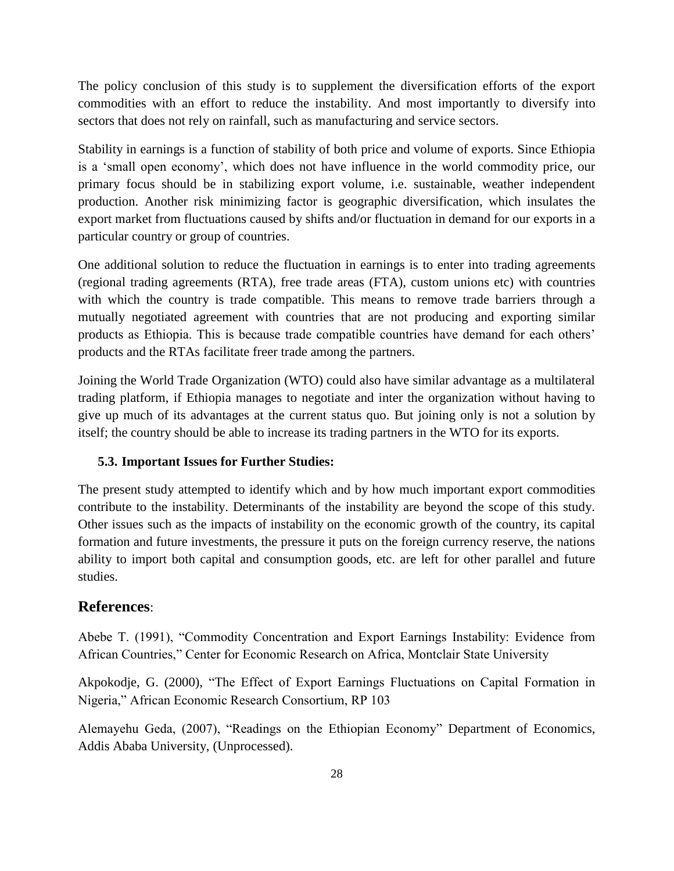The policy conclusion of this study is to supplement the diversification efforts of the export commodities with an effort to reduce the instability. And most importantly to diversify into sectors that does not rely on rainfall, such as manufacturing and service sectors.

Stability in earnings is a function of stability of both price and volume of exports. Since Ethiopia is a "small open economy", which does not have influence in the world commodity price, our primary focus should be in stabilizing export volume, i.e. sustainable, weather independent production. Another risk minimizing factor is geographic diversification, which insulates the export market from fluctuations caused by shifts and/or fluctuation in demand for our exports in a particular country or group of countries.

One additional solution to reduce the fluctuation in earnings is to enter into trading agreements (regional trading agreements (RTA), free trade areas (FTA), custom unions etc) with countries with which the country is trade compatible. This means to remove trade barriers through a mutually negotiated agreement with countries that are not producing and exporting similar products as Ethiopia. This is because trade compatible countries have demand for each others" products and the RTAs facilitate freer trade among the partners.

Joining the World Trade Organization (WTO) could also have similar advantage as a multilateral trading platform, if Ethiopia manages to negotiate and inter the organization without having to give up much of its advantages at the current status quo. But joining only is not a solution by itself; the country should be able to increase its trading partners in the WTO for its exports.

## **5.3. Important Issues for Further Studies:**

The present study attempted to identify which and by how much important export commodities contribute to the instability. Determinants of the instability are beyond the scope of this study. Other issues such as the impacts of instability on the economic growth of the country, its capital formation and future investments, the pressure it puts on the foreign currency reserve, the nations ability to import both capital and consumption goods, etc. are left for other parallel and future studies.

# **References**:

Abebe T. (1991), "Commodity Concentration and Export Earnings Instability: Evidence from African Countries," Center for Economic Research on Africa, Montclair State University

Akpokodje, G. (2000), "The Effect of Export Earnings Fluctuations on Capital Formation in Nigeria," African Economic Research Consortium, RP 103

Alemayehu Geda, (2007), "Readings on the Ethiopian Economy" Department of Economics, Addis Ababa University, (Unprocessed).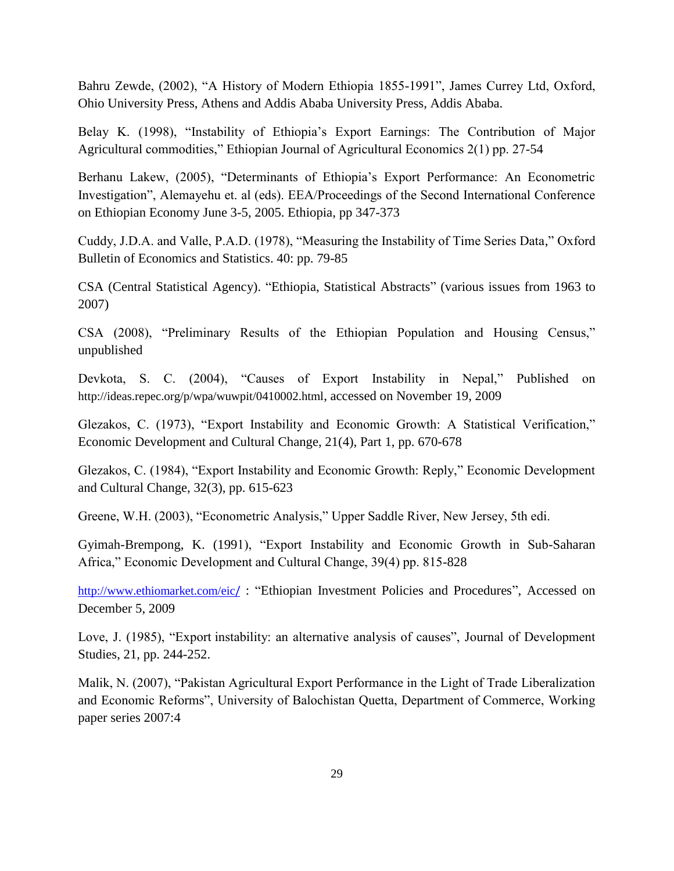Bahru Zewde, (2002), "A History of Modern Ethiopia 1855-1991", James Currey Ltd, Oxford, Ohio University Press, Athens and Addis Ababa University Press, Addis Ababa.

Belay K. (1998), "Instability of Ethiopia's Export Earnings: The Contribution of Major Agricultural commodities," Ethiopian Journal of Agricultural Economics 2(1) pp. 27-54

Berhanu Lakew, (2005), "Determinants of Ethiopia"s Export Performance: An Econometric Investigation", Alemayehu et. al (eds). EEA/Proceedings of the Second International Conference on Ethiopian Economy June 3-5, 2005. Ethiopia, pp 347-373

Cuddy, J.D.A. and Valle, P.A.D. (1978), "Measuring the Instability of Time Series Data," Oxford Bulletin of Economics and Statistics. 40: pp. 79-85

CSA (Central Statistical Agency). "Ethiopia, Statistical Abstracts" (various issues from 1963 to 2007)

CSA (2008), "Preliminary Results of the Ethiopian Population and Housing Census," unpublished

Devkota, S. C. (2004), "Causes of Export Instability in Nepal," Published on <http://ideas.repec.org/p/wpa/wuwpit/0410002.html>, accessed on November 19, 2009

Glezakos, C. (1973), "Export Instability and Economic Growth: A Statistical Verification," Economic Development and Cultural Change, 21(4), Part 1, pp. 670-678

Glezakos, C. (1984), "Export Instability and Economic Growth: Reply," Economic Development and Cultural Change, 32(3), pp. 615-623

Greene, W.H. (2003), "Econometric Analysis," Upper Saddle River, New Jersey, 5th edi.

Gyimah-Brempong, K. (1991), "Export Instability and Economic Growth in Sub-Saharan Africa," Economic Development and Cultural Change, 39(4) pp. 815-828

[http://www.ethiomarket.com/eic](http://www.ethiomarket.com/eic/)/ : "Ethiopian Investment Policies and Procedures", Accessed on December 5, 2009

Love, J. (1985), "Export instability: an alternative analysis of causes", Journal of Development Studies, 21, pp. 244-252.

Malik, N. (2007), "Pakistan Agricultural Export Performance in the Light of Trade Liberalization and Economic Reforms", University of Balochistan Quetta, Department of Commerce, Working paper series 2007:4